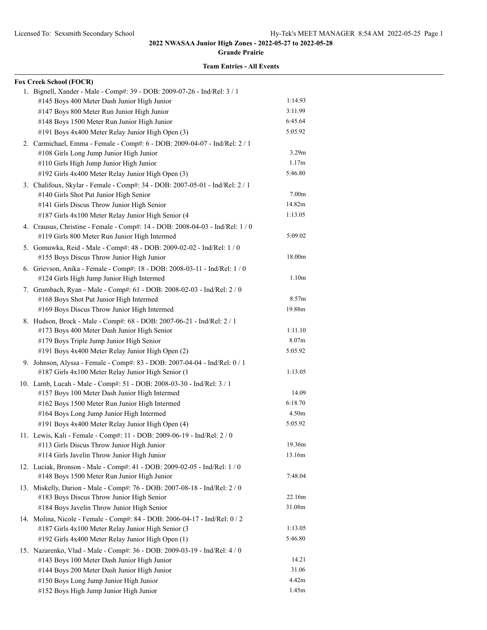**Grande Prairie**

| <b>Fox Creek School (FOCR)</b>                                                |                   |
|-------------------------------------------------------------------------------|-------------------|
| 1. Bignell, Xander - Male - Comp#: 39 - DOB: 2009-07-26 - Ind/Rel: 3 / 1      |                   |
| #145 Boys 400 Meter Dash Junior High Junior                                   | 1:14.93           |
| #147 Boys 800 Meter Run Junior High Junior                                    | 3:11.99           |
| #148 Boys 1500 Meter Run Junior High Junior                                   | 6:45.64           |
| #191 Boys 4x400 Meter Relay Junior High Open (3)                              | 5:05.92           |
| 2. Carmichael, Emma - Female - Comp#: 6 - DOB: 2009-04-07 - Ind/Rel: 2 / 1    |                   |
| #108 Girls Long Jump Junior High Junior                                       | 3.29 <sub>m</sub> |
| #110 Girls High Jump Junior High Junior                                       | 1.17m             |
| #192 Girls 4x400 Meter Relay Junior High Open (3)                             | 5:46.80           |
| 3. Chalifoux, Skylar - Female - Comp#: 34 - DOB: 2007-05-01 - Ind/Rel: 2 / 1  |                   |
| #140 Girls Shot Put Junior High Senior                                        | 7.00 <sub>m</sub> |
| #141 Girls Discus Throw Junior High Senior                                    | 14.82m            |
| #187 Girls 4x100 Meter Relay Junior High Senior (4                            | 1:13.05           |
| 4. Crausus, Christine - Female - Comp#: 14 - DOB: 2008-04-03 - Ind/Rel: 1 / 0 |                   |
| #119 Girls 800 Meter Run Junior High Intermed                                 | 5:09.02           |
| 5. Gomuwka, Reid - Male - Comp#: 48 - DOB: 2009-02-02 - Ind/Rel: 1 / 0        |                   |
| #155 Boys Discus Throw Junior High Junior                                     | 18.00m            |
| 6. Grievson, Anika - Female - Comp#: 18 - DOB: 2008-03-11 - Ind/Rel: 1 / 0    |                   |
| #124 Girls High Jump Junior High Intermed                                     | 1.10 <sub>m</sub> |
| 7. Grumbach, Ryan - Male - Comp#: 61 - DOB: 2008-02-03 - Ind/Rel: 2 / 0       |                   |
| #168 Boys Shot Put Junior High Intermed                                       | 8.57m             |
| #169 Boys Discus Throw Junior High Intermed                                   | 19.88m            |
| 8. Hudson, Brock - Male - Comp#: 68 - DOB: 2007-06-21 - Ind/Rel: 2 / 1        |                   |
| #173 Boys 400 Meter Dash Junior High Senior                                   | 1:11.10           |
| #179 Boys Triple Jump Junior High Senior                                      | 8.07 <sub>m</sub> |
| #191 Boys 4x400 Meter Relay Junior High Open (2)                              | 5:05.92           |
| 9. Johnson, Alyssa - Female - Comp#: 83 - DOB: 2007-04-04 - Ind/Rel: 0 / 1    |                   |
| #187 Girls 4x100 Meter Relay Junior High Senior (1                            | 1:13.05           |
| 10. Lamb, Lucah - Male - Comp#: 51 - DOB: 2008-03-30 - Ind/Rel: 3 / 1         |                   |
| #157 Boys 100 Meter Dash Junior High Intermed                                 | 14.09             |
| #162 Boys 1500 Meter Run Junior High Intermed                                 | 6:18.70           |
| #164 Boys Long Jump Junior High Intermed                                      | 4.50m             |
| #191 Boys 4x400 Meter Relay Junior High Open (4)                              | 5:05.92           |
| 11. Lewis, Kali - Female - Comp#: 11 - DOB: 2009-06-19 - Ind/Rel: 2 / 0       |                   |
| #113 Girls Discus Throw Junior High Junior                                    | 19.36m            |
| #114 Girls Javelin Throw Junior High Junior                                   | 13.16m            |
| 12. Luciak, Bronson - Male - Comp#: 41 - DOB: 2009-02-05 - Ind/Rel: 1 / 0     |                   |
| #148 Boys 1500 Meter Run Junior High Junior                                   | 7:48.04           |
| 13. Miskelly, Darion - Male - Comp#: 76 - DOB: 2007-08-18 - Ind/Rel: 2 / 0    |                   |
| #183 Boys Discus Throw Junior High Senior                                     | 22.16m            |
| #184 Boys Javelin Throw Junior High Senior                                    | 31.08m            |
| 14. Molina, Nicole - Female - Comp#: 84 - DOB: 2006-04-17 - Ind/Rel: 0 / 2    |                   |
| #187 Girls 4x100 Meter Relay Junior High Senior (3                            | 1:13.05           |
| #192 Girls 4x400 Meter Relay Junior High Open (1)                             | 5:46.80           |
| 15. Nazarenko, Vlad - Male - Comp#: 36 - DOB: 2009-03-19 - Ind/Rel: 4 / 0     |                   |
| #143 Boys 100 Meter Dash Junior High Junior                                   | 14.21             |
| #144 Boys 200 Meter Dash Junior High Junior                                   | 31.06             |
| #150 Boys Long Jump Junior High Junior                                        | 4.42m             |
| #152 Boys High Jump Junior High Junior                                        | 1.45m             |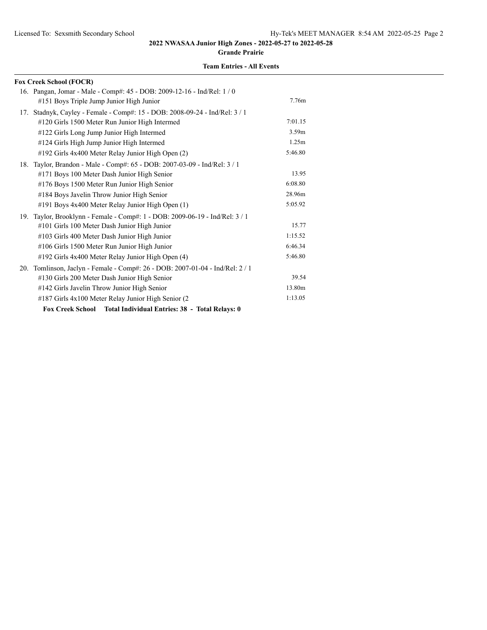**Grande Prairie**

| <b>Fox Creek School (FOCR)</b>                                               |                   |
|------------------------------------------------------------------------------|-------------------|
| 16. Pangan, Jomar - Male - Comp#: 45 - DOB: 2009-12-16 - Ind/Rel: 1 / 0      |                   |
| #151 Boys Triple Jump Junior High Junior                                     | 7.76m             |
| 17. Stadnyk, Cayley - Female - Comp#: 15 - DOB: 2008-09-24 - Ind/Rel: 3 / 1  |                   |
| #120 Girls 1500 Meter Run Junior High Intermed                               | 7:01.15           |
| #122 Girls Long Jump Junior High Intermed                                    | 3.59 <sub>m</sub> |
| #124 Girls High Jump Junior High Intermed                                    | 1.25m             |
| #192 Girls 4x400 Meter Relay Junior High Open (2)                            | 5:46.80           |
| 18. Taylor, Brandon - Male - Comp#: 65 - DOB: 2007-03-09 - Ind/Rel: 3 / 1    |                   |
| #171 Boys 100 Meter Dash Junior High Senior                                  | 13.95             |
| #176 Boys 1500 Meter Run Junior High Senior                                  | 6:08.80           |
| #184 Boys Javelin Throw Junior High Senior                                   | 28.96m            |
| #191 Boys 4x400 Meter Relay Junior High Open (1)                             | 5:05.92           |
| 19. Taylor, Brooklynn - Female - Comp#: 1 - DOB: 2009-06-19 - Ind/Rel: 3 / 1 |                   |
| #101 Girls 100 Meter Dash Junior High Junior                                 | 15.77             |
| #103 Girls 400 Meter Dash Junior High Junior                                 | 1:15.52           |
| #106 Girls 1500 Meter Run Junior High Junior                                 | 6:46.34           |
| #192 Girls 4x400 Meter Relay Junior High Open (4)                            | 5:46.80           |
| 20. Tomlinson, Jaclyn - Female - Comp#: 26 - DOB: 2007-01-04 - Ind/Rel: 2/1  |                   |
| #130 Girls 200 Meter Dash Junior High Senior                                 | 39.54             |
| #142 Girls Javelin Throw Junior High Senior                                  | 13.80m            |
| #187 Girls 4x100 Meter Relay Junior High Senior (2)                          | 1:13.05           |
| Fox Creek School Total Individual Entries: 38 - Total Relays: 0              |                   |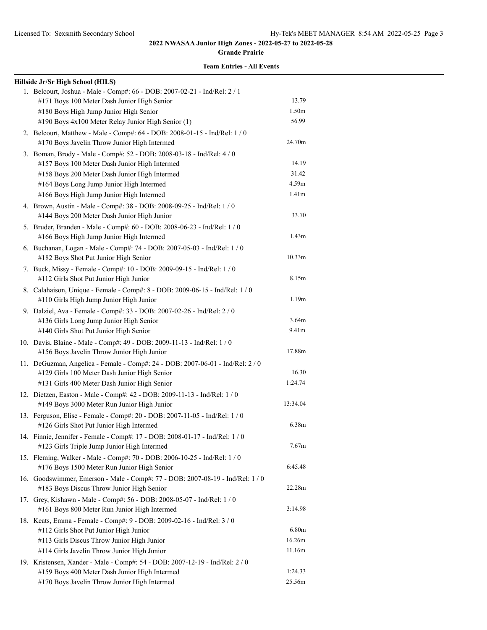**Grande Prairie**

| Hillside Jr/Sr High School (HILS)                                                                                             |                   |
|-------------------------------------------------------------------------------------------------------------------------------|-------------------|
| 1. Belcourt, Joshua - Male - Comp#: 66 - DOB: 2007-02-21 - Ind/Rel: 2 / 1                                                     |                   |
| #171 Boys 100 Meter Dash Junior High Senior                                                                                   | 13.79             |
| #180 Boys High Jump Junior High Senior                                                                                        | 1.50 <sub>m</sub> |
| #190 Boys 4x100 Meter Relay Junior High Senior (1)                                                                            | 56.99             |
| 2. Belcourt, Matthew - Male - Comp#: 64 - DOB: 2008-01-15 - Ind/Rel: 1 / 0                                                    |                   |
| #170 Boys Javelin Throw Junior High Intermed                                                                                  | 24.70m            |
| 3. Boman, Brody - Male - Comp#: 52 - DOB: 2008-03-18 - Ind/Rel: 4 / 0                                                         |                   |
| #157 Boys 100 Meter Dash Junior High Intermed                                                                                 | 14.19             |
| #158 Boys 200 Meter Dash Junior High Intermed                                                                                 | 31.42             |
| #164 Boys Long Jump Junior High Intermed                                                                                      | 4.59m             |
| #166 Boys High Jump Junior High Intermed                                                                                      | 1.41 <sub>m</sub> |
| 4. Brown, Austin - Male - Comp#: 38 - DOB: 2008-09-25 - Ind/Rel: 1 / 0                                                        |                   |
| #144 Boys 200 Meter Dash Junior High Junior                                                                                   | 33.70             |
| 5. Bruder, Branden - Male - Comp#: 60 - DOB: 2008-06-23 - Ind/Rel: 1 / 0                                                      |                   |
| #166 Boys High Jump Junior High Intermed                                                                                      | 1.43 <sub>m</sub> |
| 6. Buchanan, Logan - Male - Comp#: 74 - DOB: 2007-05-03 - Ind/Rel: 1 / 0                                                      |                   |
| #182 Boys Shot Put Junior High Senior                                                                                         | 10.33m            |
| 7. Buck, Missy - Female - Comp#: 10 - DOB: 2009-09-15 - Ind/Rel: 1 / 0                                                        |                   |
| #112 Girls Shot Put Junior High Junior                                                                                        | 8.15m             |
| 8. Calahaison, Unique - Female - Comp#: 8 - DOB: 2009-06-15 - Ind/Rel: 1 / 0                                                  |                   |
| #110 Girls High Jump Junior High Junior                                                                                       | 1.19m             |
| 9. Dalziel, Ava - Female - Comp#: 33 - DOB: 2007-02-26 - Ind/Rel: 2 / 0                                                       |                   |
| #136 Girls Long Jump Junior High Senior                                                                                       | 3.64m             |
| #140 Girls Shot Put Junior High Senior                                                                                        | 9.41m             |
| 10. Davis, Blaine - Male - Comp#: 49 - DOB: 2009-11-13 - Ind/Rel: 1 / 0                                                       |                   |
| #156 Boys Javelin Throw Junior High Junior                                                                                    | 17.88m            |
| 11. DeGuzman, Angelica - Female - Comp#: 24 - DOB: 2007-06-01 - Ind/Rel: 2 / 0                                                |                   |
| #129 Girls 100 Meter Dash Junior High Senior                                                                                  | 16.30             |
| #131 Girls 400 Meter Dash Junior High Senior                                                                                  | 1:24.74           |
| 12. Dietzen, Easton - Male - Comp#: 42 - DOB: 2009-11-13 - Ind/Rel: 1 / 0                                                     |                   |
| #149 Boys 3000 Meter Run Junior High Junior                                                                                   | 13:34.04          |
| 13. Ferguson, Elise - Female - Comp#: 20 - DOB: 2007-11-05 - Ind/Rel: 1 / 0                                                   |                   |
| #126 Girls Shot Put Junior High Intermed                                                                                      | 6.38m             |
| 14. Finnie, Jennifer - Female - Comp#: 17 - DOB: 2008-01-17 - Ind/Rel: 1 / 0                                                  |                   |
| #123 Girls Triple Jump Junior High Intermed                                                                                   | 7.67m             |
| 15. Fleming, Walker - Male - Comp#: 70 - DOB: 2006-10-25 - Ind/Rel: 1 / 0                                                     |                   |
| #176 Boys 1500 Meter Run Junior High Senior                                                                                   | 6:45.48           |
| 16. Goodswimmer, Emerson - Male - Comp#: 77 - DOB: 2007-08-19 - Ind/Rel: 1/0                                                  | 22.28m            |
| #183 Boys Discus Throw Junior High Senior                                                                                     |                   |
| 17. Grey, Kishawn - Male - Comp#: 56 - DOB: 2008-05-07 - Ind/Rel: 1 / 0                                                       | 3:14.98           |
| #161 Boys 800 Meter Run Junior High Intermed                                                                                  |                   |
| 18. Keats, Emma - Female - Comp#: 9 - DOB: 2009-02-16 - Ind/Rel: 3 / 0<br>#112 Girls Shot Put Junior High Junior              | 6.80m             |
| #113 Girls Discus Throw Junior High Junior                                                                                    | 16.26m            |
| #114 Girls Javelin Throw Junior High Junior                                                                                   | 11.16m            |
|                                                                                                                               |                   |
| 19. Kristensen, Xander - Male - Comp#: 54 - DOB: 2007-12-19 - Ind/Rel: 2 / 0<br>#159 Boys 400 Meter Dash Junior High Intermed | 1:24.33           |
| #170 Boys Javelin Throw Junior High Intermed                                                                                  | 25.56m            |
|                                                                                                                               |                   |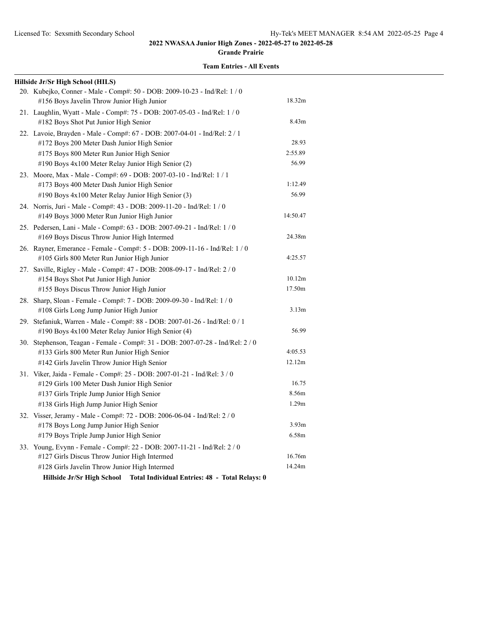**Grande Prairie**

| Hillside Jr/Sr High School (HILS)                                              |                   |
|--------------------------------------------------------------------------------|-------------------|
| 20. Kubejko, Conner - Male - Comp#: 50 - DOB: 2009-10-23 - Ind/Rel: 1 / 0      |                   |
| #156 Boys Javelin Throw Junior High Junior                                     | 18.32m            |
| 21. Laughlin, Wyatt - Male - Comp#: 75 - DOB: 2007-05-03 - Ind/Rel: 1 / 0      |                   |
| #182 Boys Shot Put Junior High Senior                                          | 8.43m             |
| 22. Lavoie, Brayden - Male - Comp#: 67 - DOB: 2007-04-01 - Ind/Rel: 2 / 1      |                   |
| #172 Boys 200 Meter Dash Junior High Senior                                    | 28.93             |
| #175 Boys 800 Meter Run Junior High Senior                                     | 2:55.89           |
| #190 Boys 4x100 Meter Relay Junior High Senior (2)                             | 56.99             |
| 23. Moore, Max - Male - Comp#: 69 - DOB: 2007-03-10 - Ind/Rel: 1 / 1           |                   |
| #173 Boys 400 Meter Dash Junior High Senior                                    | 1:12.49           |
| #190 Boys 4x100 Meter Relay Junior High Senior (3)                             | 56.99             |
| 24. Norris, Juri - Male - Comp#: 43 - DOB: 2009-11-20 - Ind/Rel: 1 / 0         |                   |
| #149 Boys 3000 Meter Run Junior High Junior                                    | 14:50.47          |
| 25. Pedersen, Lani - Male - Comp#: 63 - DOB: 2007-09-21 - Ind/Rel: 1 / 0       |                   |
| #169 Boys Discus Throw Junior High Intermed                                    | 24.38m            |
| 26. Rayner, Emerance - Female - Comp#: 5 - DOB: 2009-11-16 - Ind/Rel: 1 / 0    |                   |
| #105 Girls 800 Meter Run Junior High Junior                                    | 4:25.57           |
| 27. Saville, Rigley - Male - Comp#: 47 - DOB: 2008-09-17 - Ind/Rel: 2/0        |                   |
| #154 Boys Shot Put Junior High Junior                                          | 10.12m            |
| #155 Boys Discus Throw Junior High Junior                                      | 17.50m            |
| 28. Sharp, Sloan - Female - Comp#: 7 - DOB: 2009-09-30 - Ind/Rel: 1 / 0        |                   |
| #108 Girls Long Jump Junior High Junior                                        | 3.13 <sub>m</sub> |
| 29. Stefaniuk, Warren - Male - Comp#: 88 - DOB: 2007-01-26 - Ind/Rel: 0 / 1    |                   |
| #190 Boys 4x100 Meter Relay Junior High Senior (4)                             | 56.99             |
| 30. Stephenson, Teagan - Female - Comp#: 31 - DOB: 2007-07-28 - Ind/Rel: 2 / 0 |                   |
| #133 Girls 800 Meter Run Junior High Senior                                    | 4:05.53           |
| #142 Girls Javelin Throw Junior High Senior                                    | 12.12m            |
| 31. Viker, Jaida - Female - Comp#: 25 - DOB: 2007-01-21 - Ind/Rel: 3 / 0       |                   |
| #129 Girls 100 Meter Dash Junior High Senior                                   | 16.75             |
| #137 Girls Triple Jump Junior High Senior                                      | 8.56m             |
| #138 Girls High Jump Junior High Senior                                        | 1.29m             |
| 32. Visser, Jeramy - Male - Comp#: 72 - DOB: 2006-06-04 - Ind/Rel: 2 / 0       |                   |
| #178 Boys Long Jump Junior High Senior                                         | 3.93 <sub>m</sub> |
| #179 Boys Triple Jump Junior High Senior                                       | 6.58m             |
| 33. Young, Evynn - Female - Comp#: 22 - DOB: 2007-11-21 - Ind/Rel: 2 / 0       |                   |
| #127 Girls Discus Throw Junior High Intermed                                   | 16.76m            |
| #128 Girls Javelin Throw Junior High Intermed                                  | 14.24m            |
| Total Individual Entries: 48 - Total Relays: 0<br>Hillside Jr/Sr High School   |                   |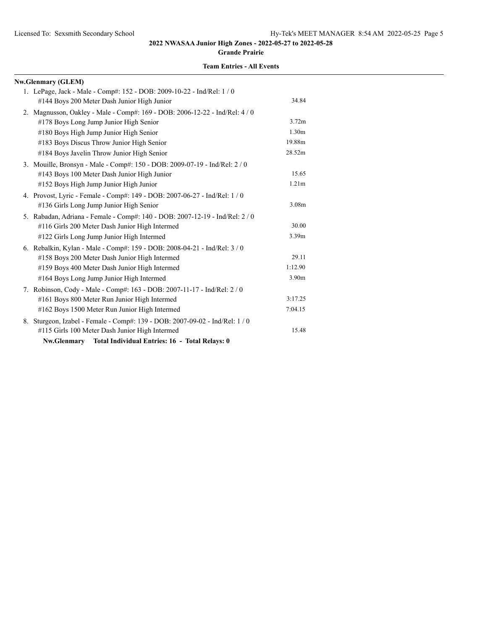**Grande Prairie**

| <b>Nw.Glenmary (GLEM)</b>                                                    |                   |
|------------------------------------------------------------------------------|-------------------|
| 1. LePage, Jack - Male - Comp#: 152 - DOB: 2009-10-22 - Ind/Rel: 1/0         |                   |
| #144 Boys 200 Meter Dash Junior High Junior                                  | 34.84             |
| 2. Magnusson, Oakley - Male - Comp#: 169 - DOB: 2006-12-22 - Ind/Rel: 4 / 0  |                   |
| #178 Boys Long Jump Junior High Senior                                       | 3.72m             |
| #180 Boys High Jump Junior High Senior                                       | 1.30 <sub>m</sub> |
| #183 Boys Discus Throw Junior High Senior                                    | 19.88m            |
| #184 Boys Javelin Throw Junior High Senior                                   | 28.52m            |
| 3. Mouille, Bronsyn - Male - Comp#: 150 - DOB: 2009-07-19 - Ind/Rel: 2 / 0   |                   |
| #143 Boys 100 Meter Dash Junior High Junior                                  | 15.65             |
| #152 Boys High Jump Junior High Junior                                       | 1.21 <sub>m</sub> |
| 4. Provost, Lyric - Female - Comp#: 149 - DOB: 2007-06-27 - Ind/Rel: 1 / 0   |                   |
| #136 Girls Long Jump Junior High Senior                                      | 3.08m             |
| 5. Rabadan, Adriana - Female - Comp#: 140 - DOB: 2007-12-19 - Ind/Rel: 2/0   |                   |
| #116 Girls 200 Meter Dash Junior High Intermed                               | 30.00             |
| #122 Girls Long Jump Junior High Intermed                                    | 3.39m             |
| 6. Rebalkin, Kylan - Male - Comp#: 159 - DOB: 2008-04-21 - Ind/Rel: 3 / 0    |                   |
| #158 Boys 200 Meter Dash Junior High Intermed                                | 29.11             |
| #159 Boys 400 Meter Dash Junior High Intermed                                | 1:12.90           |
| #164 Boys Long Jump Junior High Intermed                                     | 3.90m             |
| 7. Robinson, Cody - Male - Comp#: 163 - DOB: 2007-11-17 - Ind/Rel: 2/0       |                   |
| #161 Boys 800 Meter Run Junior High Intermed                                 | 3:17.25           |
| #162 Boys 1500 Meter Run Junior High Intermed                                | 7:04.15           |
| 8. Sturgeon, Izabel - Female - Comp#: 139 - DOB: 2007-09-02 - Ind/Rel: 1 / 0 |                   |
| #115 Girls 100 Meter Dash Junior High Intermed                               | 15.48             |
| Nw.Glenmary Total Individual Entries: 16 - Total Relays: 0                   |                   |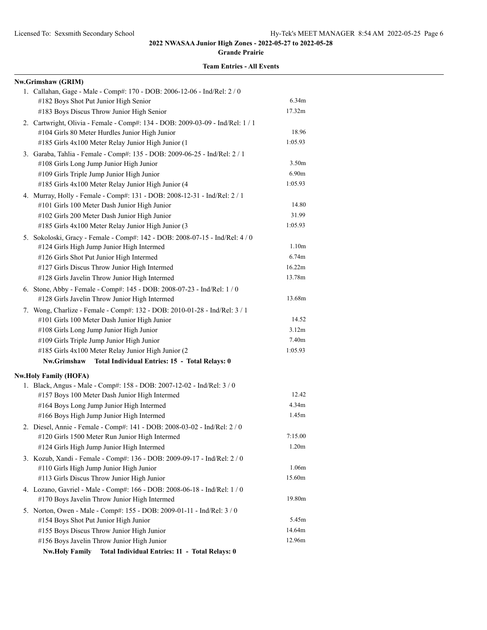**Grande Prairie**

| Nw.Grimshaw (GRIM)                                                             |                   |
|--------------------------------------------------------------------------------|-------------------|
| 1. Callahan, Gage - Male - Comp#: 170 - DOB: 2006-12-06 - Ind/Rel: 2 / 0       |                   |
| #182 Boys Shot Put Junior High Senior                                          | 6.34 <sub>m</sub> |
| #183 Boys Discus Throw Junior High Senior                                      | 17.32m            |
| 2. Cartwright, Olivia - Female - Comp#: 134 - DOB: 2009-03-09 - Ind/Rel: 1 / 1 |                   |
| #104 Girls 80 Meter Hurdles Junior High Junior                                 | 18.96             |
| #185 Girls 4x100 Meter Relay Junior High Junior (1                             | 1:05.93           |
| 3. Garaba, Tahlia - Female - Comp#: 135 - DOB: 2009-06-25 - Ind/Rel: 2 / 1     |                   |
| #108 Girls Long Jump Junior High Junior                                        | 3.50 <sub>m</sub> |
| #109 Girls Triple Jump Junior High Junior                                      | 6.90m             |
| #185 Girls 4x100 Meter Relay Junior High Junior (4                             | 1:05.93           |
| 4. Murray, Holly - Female - Comp#: 131 - DOB: 2008-12-31 - Ind/Rel: 2 / 1      |                   |
| #101 Girls 100 Meter Dash Junior High Junior                                   | 14.80             |
| #102 Girls 200 Meter Dash Junior High Junior                                   | 31.99             |
| #185 Girls 4x100 Meter Relay Junior High Junior (3                             | 1:05.93           |
| 5. Sokoloski, Gracy - Female - Comp#: 142 - DOB: 2008-07-15 - Ind/Rel: 4 / 0   |                   |
| #124 Girls High Jump Junior High Intermed                                      | 1.10 <sub>m</sub> |
| #126 Girls Shot Put Junior High Intermed                                       | 6.74 <sub>m</sub> |
| #127 Girls Discus Throw Junior High Intermed                                   | 16.22m            |
| #128 Girls Javelin Throw Junior High Intermed                                  | 13.78m            |
| 6. Stone, Abby - Female - Comp#: 145 - DOB: 2008-07-23 - Ind/Rel: 1 / 0        |                   |
| #128 Girls Javelin Throw Junior High Intermed                                  | 13.68m            |
| 7. Wong, Charlize - Female - Comp#: 132 - DOB: 2010-01-28 - Ind/Rel: 3 / 1     |                   |
| #101 Girls 100 Meter Dash Junior High Junior                                   | 14.52             |
| #108 Girls Long Jump Junior High Junior                                        | 3.12 <sub>m</sub> |
| #109 Girls Triple Jump Junior High Junior                                      | 7.40m             |
| #185 Girls 4x100 Meter Relay Junior High Junior (2                             | 1:05.93           |
| Nw.Grimshaw Total Individual Entries: 15 - Total Relays: 0                     |                   |
| <b>Nw.Holy Family (HOFA)</b>                                                   |                   |
| 1. Black, Angus - Male - Comp#: 158 - DOB: 2007-12-02 - Ind/Rel: 3 / 0         |                   |
| #157 Boys 100 Meter Dash Junior High Intermed                                  | 12.42             |
| #164 Boys Long Jump Junior High Intermed                                       | 4.34 <sub>m</sub> |
| #166 Boys High Jump Junior High Intermed                                       | 1.45m             |
| 2. Diesel, Annie - Female - Comp#: 141 - DOB: 2008-03-02 - Ind/Rel: 2 / 0      |                   |
| #120 Girls 1500 Meter Run Junior High Intermed                                 | 7:15.00           |
| #124 Girls High Jump Junior High Intermed                                      | 1.20 <sub>m</sub> |
| 3. Kozub, Xandi - Female - Comp#: 136 - DOB: 2009-09-17 - Ind/Rel: 2 / 0       |                   |
| #110 Girls High Jump Junior High Junior                                        | 1.06m             |
| #113 Girls Discus Throw Junior High Junior                                     | 15.60m            |
| 4. Lozano, Gavriel - Male - Comp#: 166 - DOB: 2008-06-18 - Ind/Rel: 1 / 0      |                   |
| #170 Boys Javelin Throw Junior High Intermed                                   | 19.80m            |
| 5. Norton, Owen - Male - Comp#: 155 - DOB: 2009-01-11 - Ind/Rel: 3 / 0         |                   |
| #154 Boys Shot Put Junior High Junior                                          | 5.45m             |
| #155 Boys Discus Throw Junior High Junior                                      | 14.64m            |
| #156 Boys Javelin Throw Junior High Junior                                     | 12.96m            |
| Total Individual Entries: 11 - Total Relays: 0<br><b>Nw.Holy Family</b>        |                   |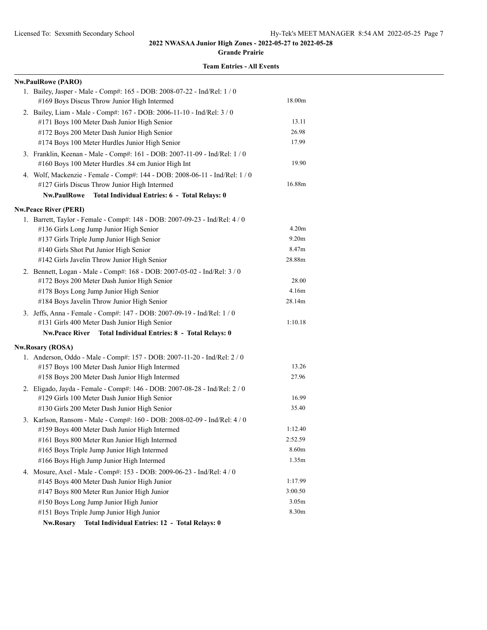**Grande Prairie**

|  | <b>Team Entries - All Events</b> |  |  |
|--|----------------------------------|--|--|
|--|----------------------------------|--|--|

| <b>Nw.PaulRowe (PARO)</b>                                                   |                   |
|-----------------------------------------------------------------------------|-------------------|
| 1. Bailey, Jasper - Male - Comp#: 165 - DOB: 2008-07-22 - Ind/Rel: 1 / 0    |                   |
| #169 Boys Discus Throw Junior High Intermed                                 | 18.00m            |
| 2. Bailey, Liam - Male - Comp#: 167 - DOB: 2006-11-10 - Ind/Rel: 3 / 0      |                   |
| #171 Boys 100 Meter Dash Junior High Senior                                 | 13.11             |
| #172 Boys 200 Meter Dash Junior High Senior                                 | 26.98             |
| #174 Boys 100 Meter Hurdles Junior High Senior                              | 17.99             |
| 3. Franklin, Keenan - Male - Comp#: 161 - DOB: 2007-11-09 - Ind/Rel: 1 / 0  |                   |
| #160 Boys 100 Meter Hurdles .84 cm Junior High Int                          | 19.90             |
| 4. Wolf, Mackenzie - Female - Comp#: 144 - DOB: 2008-06-11 - Ind/Rel: 1 / 0 |                   |
| #127 Girls Discus Throw Junior High Intermed                                | 16.88m            |
| <b>Nw.PaulRowe</b><br>Total Individual Entries: 6 - Total Relays: 0         |                   |
| <b>Nw.Peace River (PERI)</b>                                                |                   |
| 1. Barrett, Taylor - Female - Comp#: 148 - DOB: 2007-09-23 - Ind/Rel: 4 / 0 |                   |
| #136 Girls Long Jump Junior High Senior                                     | 4.20m             |
| #137 Girls Triple Jump Junior High Senior                                   | 9.20 <sub>m</sub> |
| #140 Girls Shot Put Junior High Senior                                      | 8.47m             |
| #142 Girls Javelin Throw Junior High Senior                                 | 28.88m            |
| 2. Bennett, Logan - Male - Comp#: 168 - DOB: 2007-05-02 - Ind/Rel: 3 / 0    |                   |
| #172 Boys 200 Meter Dash Junior High Senior                                 | 28.00             |
| #178 Boys Long Jump Junior High Senior                                      | 4.16m             |
| #184 Boys Javelin Throw Junior High Senior                                  | 28.14m            |
| 3. Jeffs, Anna - Female - Comp#: 147 - DOB: 2007-09-19 - Ind/Rel: 1 / 0     |                   |
| #131 Girls 400 Meter Dash Junior High Senior                                | 1:10.18           |
| Nw.Peace River Total Individual Entries: 8 - Total Relays: 0                |                   |
| <b>Nw.Rosary (ROSA)</b>                                                     |                   |
| 1. Anderson, Oddo - Male - Comp#: 157 - DOB: 2007-11-20 - Ind/Rel: 2 / 0    |                   |
| #157 Boys 100 Meter Dash Junior High Intermed                               | 13.26             |
| #158 Boys 200 Meter Dash Junior High Intermed                               | 27.96             |
| 2. Eligado, Jayda - Female - Comp#: 146 - DOB: 2007-08-28 - Ind/Rel: 2 / 0  |                   |
| #129 Girls 100 Meter Dash Junior High Senior                                | 16.99             |
| #130 Girls 200 Meter Dash Junior High Senior                                | 35.40             |
| 3. Karlson, Ransom - Male - Comp#: 160 - DOB: 2008-02-09 - Ind/Rel: 4 / 0   |                   |
| #159 Boys 400 Meter Dash Junior High Intermed                               | 1:12.40           |
| #161 Boys 800 Meter Run Junior High Intermed                                | 2:52.59           |
| #165 Boys Triple Jump Junior High Intermed                                  | 8.60m             |
| #166 Boys High Jump Junior High Intermed                                    | 1.35m             |
| 4. Mosure, Axel - Male - Comp#: 153 - DOB: 2009-06-23 - Ind/Rel: 4 / 0      |                   |
| #145 Boys 400 Meter Dash Junior High Junior                                 | 1:17.99           |
| #147 Boys 800 Meter Run Junior High Junior                                  | 3:00.50           |
| #150 Boys Long Jump Junior High Junior                                      | 3.05m             |
| #151 Boys Triple Jump Junior High Junior                                    | 8.30m             |
| Nw.Rosary<br>Total Individual Entries: 12 - Total Relays: 0                 |                   |
|                                                                             |                   |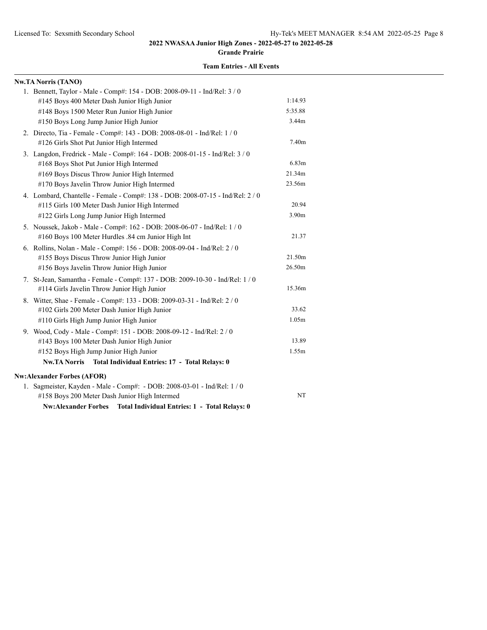**Grande Prairie**

| <b>Nw.TA Norris (TANO)</b>                                                     |                   |
|--------------------------------------------------------------------------------|-------------------|
| 1. Bennett, Taylor - Male - Comp#: 154 - DOB: 2008-09-11 - Ind/Rel: 3 / 0      |                   |
| #145 Boys 400 Meter Dash Junior High Junior                                    | 1:14.93           |
| #148 Boys 1500 Meter Run Junior High Junior                                    | 5:35.88           |
| #150 Boys Long Jump Junior High Junior                                         | 3.44m             |
| 2. Directo, Tia - Female - Comp#: 143 - DOB: 2008-08-01 - Ind/Rel: 1 / 0       |                   |
| #126 Girls Shot Put Junior High Intermed                                       | 7.40 <sub>m</sub> |
| 3. Langdon, Fredrick - Male - Comp#: 164 - DOB: 2008-01-15 - Ind/Rel: 3 / 0    |                   |
| #168 Boys Shot Put Junior High Intermed                                        | 6.83m             |
| #169 Boys Discus Throw Junior High Intermed                                    | 21.34m            |
| #170 Boys Javelin Throw Junior High Intermed                                   | 23.56m            |
| 4. Lombard, Chantelle - Female - Comp#: 138 - DOB: 2008-07-15 - Ind/Rel: 2 / 0 |                   |
| #115 Girls 100 Meter Dash Junior High Intermed                                 | 20.94             |
| #122 Girls Long Jump Junior High Intermed                                      | 3.90m             |
| 5. Noussek, Jakob - Male - Comp#: 162 - DOB: 2008-06-07 - Ind/Rel: 1 / 0       |                   |
| #160 Boys 100 Meter Hurdles .84 cm Junior High Int                             | 21.37             |
| 6. Rollins, Nolan - Male - Comp#: 156 - DOB: 2008-09-04 - Ind/Rel: 2 / 0       |                   |
| #155 Boys Discus Throw Junior High Junior                                      | 21.50m            |
| #156 Boys Javelin Throw Junior High Junior                                     | 26.50m            |
| 7. St-Jean, Samantha - Female - Comp#: 137 - DOB: 2009-10-30 - Ind/Rel: 1 / 0  |                   |
| #114 Girls Javelin Throw Junior High Junior                                    | 15.36m            |
| 8. Witter, Shae - Female - Comp#: 133 - DOB: 2009-03-31 - Ind/Rel: 2 / 0       |                   |
| #102 Girls 200 Meter Dash Junior High Junior                                   | 33.62             |
| #110 Girls High Jump Junior High Junior                                        | 1.05m             |
| 9. Wood, Cody - Male - Comp#: 151 - DOB: 2008-09-12 - Ind/Rel: 2 / 0           |                   |
| #143 Boys 100 Meter Dash Junior High Junior                                    | 13.89             |
| #152 Boys High Jump Junior High Junior                                         | 1.55m             |
| Nw.TA Norris Total Individual Entries: 17 - Total Relays: 0                    |                   |
| <b>Nw:Alexander Forbes (AFOR)</b>                                              |                   |
| 1. Sagmeister, Kayden - Male - Comp#: - DOB: 2008-03-01 - Ind/Rel: 1 / 0       |                   |
| #158 Boys 200 Meter Dash Junior High Intermed                                  | NT                |
| <b>Nw:Alexander Forbes</b><br>Total Individual Entries: 1 - Total Relays: 0    |                   |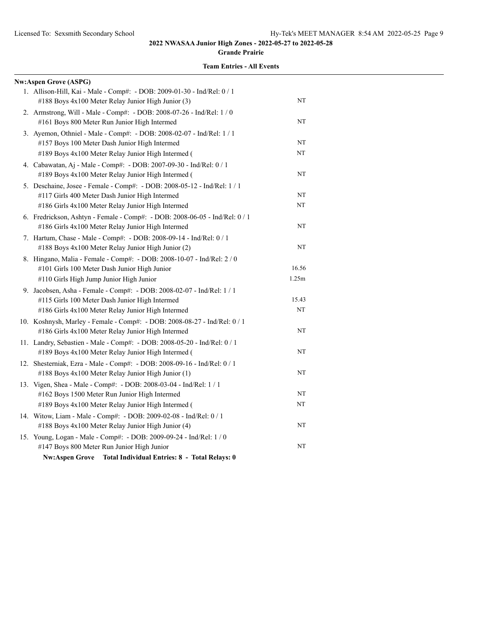#### **Grande Prairie**

| <b>Nw:Aspen Grove (ASPG)</b>                                                |       |
|-----------------------------------------------------------------------------|-------|
| 1. Allison-Hill, Kai - Male - Comp#: - DOB: 2009-01-30 - Ind/Rel: 0 / 1     |       |
| #188 Boys 4x100 Meter Relay Junior High Junior (3)                          | NT    |
| 2. Armstrong, Will - Male - Comp#: - DOB: 2008-07-26 - Ind/Rel: 1 / 0       |       |
| #161 Boys 800 Meter Run Junior High Intermed                                | NT    |
| 3. Ayemon, Othniel - Male - Comp#: - DOB: 2008-02-07 - Ind/Rel: 1 / 1       |       |
| #157 Boys 100 Meter Dash Junior High Intermed                               | NT    |
| #189 Boys 4x100 Meter Relay Junior High Intermed (                          | NT    |
| 4. Cabawatan, Aj - Male - Comp#: - DOB: 2007-09-30 - Ind/Rel: 0 / 1         |       |
| #189 Boys 4x100 Meter Relay Junior High Intermed (                          | NT    |
| 5. Deschaine, Josee - Female - Comp#: - DOB: 2008-05-12 - Ind/Rel: 1 / 1    |       |
| #117 Girls 400 Meter Dash Junior High Intermed                              | NT    |
| #186 Girls 4x100 Meter Relay Junior High Intermed                           | NT    |
| 6. Fredrickson, Ashtyn - Female - Comp#: - DOB: 2008-06-05 - Ind/Rel: 0 / 1 |       |
| #186 Girls 4x100 Meter Relay Junior High Intermed                           | NT    |
| 7. Hartum, Chase - Male - Comp#: - DOB: 2008-09-14 - Ind/Rel: 0 / 1         |       |
| #188 Boys 4x100 Meter Relay Junior High Junior (2)                          | NT    |
| 8. Hingano, Malia - Female - Comp#: - DOB: 2008-10-07 - Ind/Rel: 2 / 0      |       |
| #101 Girls 100 Meter Dash Junior High Junior                                | 16.56 |
| #110 Girls High Jump Junior High Junior                                     | 1.25m |
| 9. Jacobsen, Asha - Female - Comp#: - DOB: 2008-02-07 - Ind/Rel: 1 / 1      |       |
| #115 Girls 100 Meter Dash Junior High Intermed                              | 15.43 |
| #186 Girls 4x100 Meter Relay Junior High Intermed                           | NT    |
| 10. Koshnysh, Marley - Female - Comp#: - DOB: 2008-08-27 - Ind/Rel: 0 / 1   |       |
| #186 Girls 4x100 Meter Relay Junior High Intermed                           | NT    |
| 11. Landry, Sebastien - Male - Comp#: - DOB: 2008-05-20 - Ind/Rel: 0 / 1    |       |
| #189 Boys 4x100 Meter Relay Junior High Intermed (                          | NT    |
| 12. Shesterniak, Ezra - Male - Comp#: - DOB: 2008-09-16 - Ind/Rel: 0 / 1    |       |
| #188 Boys 4x100 Meter Relay Junior High Junior (1)                          | NT    |
| 13. Vigen, Shea - Male - Comp#: - DOB: 2008-03-04 - Ind/Rel: 1 / 1          |       |
| #162 Boys 1500 Meter Run Junior High Intermed                               | NT    |
| #189 Boys 4x100 Meter Relay Junior High Intermed (                          | NT    |
| 14. Witow, Liam - Male - Comp#: - DOB: 2009-02-08 - Ind/Rel: 0 / 1          |       |
| #188 Boys 4x100 Meter Relay Junior High Junior (4)                          | NT    |
| 15. Young, Logan - Male - Comp#: - DOB: 2009-09-24 - Ind/Rel: 1 / 0         |       |
| #147 Boys 800 Meter Run Junior High Junior                                  | NT    |
| <b>Nw:Aspen Grove</b><br>Total Individual Entries: 8 - Total Relays: 0      |       |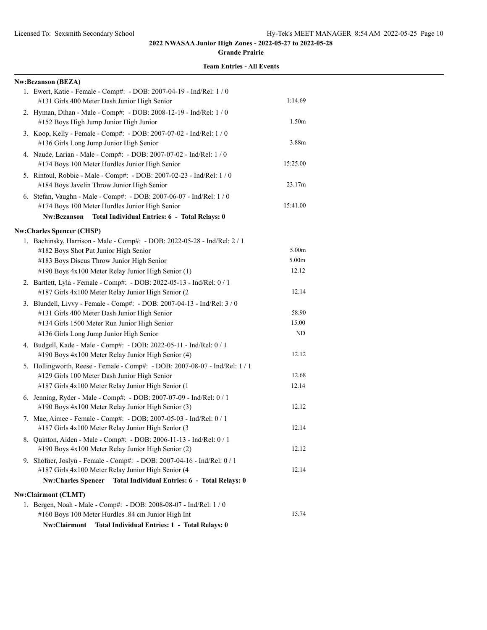#### **Grande Prairie**

| <b>Team Entries - All Events</b> |  |  |  |  |  |
|----------------------------------|--|--|--|--|--|
|----------------------------------|--|--|--|--|--|

| <b>Nw:Bezanson (BEZA)</b>                                                                                                     |                   |
|-------------------------------------------------------------------------------------------------------------------------------|-------------------|
| 1. Ewert, Katie - Female - Comp#: - DOB: 2007-04-19 - Ind/Rel: 1 / 0<br>#131 Girls 400 Meter Dash Junior High Senior          | 1:14.69           |
| 2. Hyman, Dihan - Male - Comp#: - DOB: 2008-12-19 - Ind/Rel: 1 / 0<br>#152 Boys High Jump Junior High Junior                  | 1.50 <sub>m</sub> |
| 3. Koop, Kelly - Female - Comp#: - DOB: 2007-07-02 - Ind/Rel: 1 / 0<br>#136 Girls Long Jump Junior High Senior                | 3.88m             |
| 4. Naude, Larian - Male - Comp#: - DOB: 2007-07-02 - Ind/Rel: 1 / 0<br>#174 Boys 100 Meter Hurdles Junior High Senior         | 15:25.00          |
| 5. Rintoul, Robbie - Male - Comp#: - DOB: 2007-02-23 - Ind/Rel: 1 / 0<br>#184 Boys Javelin Throw Junior High Senior           | 23.17m            |
| 6. Stefan, Vaughn - Male - Comp#: - DOB: 2007-06-07 - Ind/Rel: 1 / 0<br>#174 Boys 100 Meter Hurdles Junior High Senior        | 15:41.00          |
| Nw:Bezanson Total Individual Entries: 6 - Total Relays: 0                                                                     |                   |
| <b>Nw:Charles Spencer (CHSP)</b>                                                                                              |                   |
| 1. Bachinsky, Harrison - Male - Comp#: - DOB: 2022-05-28 - Ind/Rel: 2 / 1<br>#182 Boys Shot Put Junior High Senior            | 5.00m             |
| #183 Boys Discus Throw Junior High Senior                                                                                     | 5.00m             |
| #190 Boys 4x100 Meter Relay Junior High Senior (1)                                                                            | 12.12             |
| 2. Bartlett, Lyla - Female - Comp#: - DOB: 2022-05-13 - Ind/Rel: 0 / 1<br>#187 Girls 4x100 Meter Relay Junior High Senior (2  | 12.14             |
| 3. Blundell, Livvy - Female - Comp#: - DOB: 2007-04-13 - Ind/Rel: 3 / 0                                                       |                   |
| #131 Girls 400 Meter Dash Junior High Senior                                                                                  | 58.90             |
| #134 Girls 1500 Meter Run Junior High Senior                                                                                  | 15.00             |
| #136 Girls Long Jump Junior High Senior                                                                                       | ND                |
| 4. Budgell, Kade - Male - Comp#: - DOB: 2022-05-11 - Ind/Rel: 0 / 1<br>#190 Boys 4x100 Meter Relay Junior High Senior (4)     | 12.12             |
| 5. Hollingworth, Reese - Female - Comp#: - DOB: 2007-08-07 - Ind/Rel: 1 / 1                                                   |                   |
| #129 Girls 100 Meter Dash Junior High Senior                                                                                  | 12.68             |
| #187 Girls 4x100 Meter Relay Junior High Senior (1                                                                            | 12.14             |
| 6. Jenning, Ryder - Male - Comp#: - DOB: 2007-07-09 - Ind/Rel: 0 / 1<br>#190 Boys 4x100 Meter Relay Junior High Senior (3)    | 12.12             |
| 7. Mae, Aimee - Female - Comp#: - DOB: 2007-05-03 - Ind/Rel: 0 / 1<br>#187 Girls 4x100 Meter Relay Junior High Senior (3      | 12.14             |
| 8. Quinton, Aiden - Male - Comp#: - DOB: 2006-11-13 - Ind/Rel: 0 / 1<br>#190 Boys 4x100 Meter Relay Junior High Senior (2)    | 12.12             |
| 9. Shofner, Joslyn - Female - Comp#: - DOB: 2007-04-16 - Ind/Rel: 0 / 1<br>#187 Girls 4x100 Meter Relay Junior High Senior (4 | 12.14             |
| Nw:Charles Spencer Total Individual Entries: 6 - Total Relays: 0                                                              |                   |
| Nw:Clairmont (CLMT)                                                                                                           |                   |
| 1. Bergen, Noah - Male - Comp#: - DOB: 2008-08-07 - Ind/Rel: 1 / 0<br>#160 Boys 100 Meter Hurdles .84 cm Junior High Int      | 15.74             |
| Nw:Clairmont<br>Total Individual Entries: 1 - Total Relays: 0                                                                 |                   |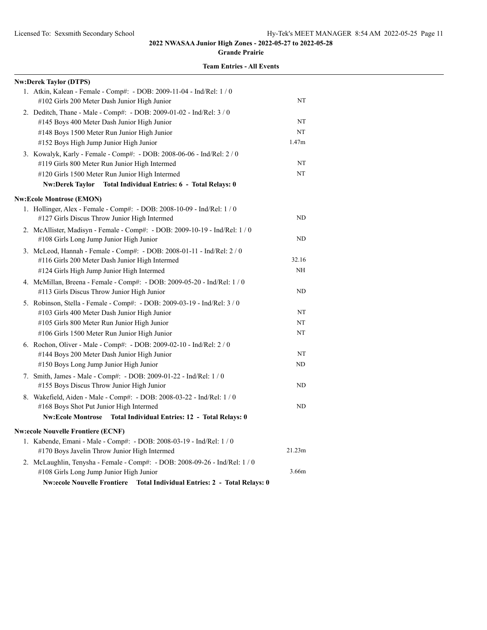**Grande Prairie**

| <b>Nw:Derek Taylor (DTPS)</b>                                                                                         |           |
|-----------------------------------------------------------------------------------------------------------------------|-----------|
| 1. Atkin, Kalean - Female - Comp#: - DOB: 2009-11-04 - Ind/Rel: 1 / 0<br>#102 Girls 200 Meter Dash Junior High Junior | NT        |
| 2. Deditch, Thane - Male - Comp#: - DOB: 2009-01-02 - Ind/Rel: 3 / 0                                                  |           |
| #145 Boys 400 Meter Dash Junior High Junior                                                                           | NT        |
| #148 Boys 1500 Meter Run Junior High Junior                                                                           | NT        |
| #152 Boys High Jump Junior High Junior                                                                                | 1.47m     |
| 3. Kowalyk, Karly - Female - Comp#: - DOB: 2008-06-06 - Ind/Rel: 2 / 0                                                |           |
| #119 Girls 800 Meter Run Junior High Intermed                                                                         | NT        |
| #120 Girls 1500 Meter Run Junior High Intermed                                                                        | NT        |
| Total Individual Entries: 6 - Total Relays: 0<br><b>Nw:Derek Taylor</b>                                               |           |
| <b>Nw:Ecole Montrose (EMON)</b>                                                                                       |           |
| 1. Hollinger, Alex - Female - Comp#: - DOB: 2008-10-09 - Ind/Rel: 1 / 0                                               |           |
| #127 Girls Discus Throw Junior High Intermed                                                                          | ND        |
| 2. McAllister, Madisyn - Female - Comp#: - DOB: 2009-10-19 - Ind/Rel: 1 / 0                                           |           |
| #108 Girls Long Jump Junior High Junior                                                                               | ND        |
| 3. McLeod, Hannah - Female - Comp#: - DOB: 2008-01-11 - Ind/Rel: 2 / 0                                                |           |
| #116 Girls 200 Meter Dash Junior High Intermed                                                                        | 32.16     |
| #124 Girls High Jump Junior High Intermed                                                                             | NH        |
| 4. McMillan, Breena - Female - Comp#: - DOB: 2009-05-20 - Ind/Rel: 1 / 0                                              |           |
| #113 Girls Discus Throw Junior High Junior                                                                            | <b>ND</b> |
| 5. Robinson, Stella - Female - Comp#: - DOB: 2009-03-19 - Ind/Rel: 3 / 0                                              |           |
| #103 Girls 400 Meter Dash Junior High Junior                                                                          | NT        |
| #105 Girls 800 Meter Run Junior High Junior                                                                           | NT        |
| #106 Girls 1500 Meter Run Junior High Junior                                                                          | NT        |
| 6. Rochon, Oliver - Male - Comp#: - DOB: 2009-02-10 - Ind/Rel: 2 / 0                                                  |           |
| #144 Boys 200 Meter Dash Junior High Junior                                                                           | NT        |
| #150 Boys Long Jump Junior High Junior                                                                                | ND        |
| 7. Smith, James - Male - Comp#: - DOB: 2009-01-22 - Ind/Rel: 1 / 0                                                    |           |
| #155 Boys Discus Throw Junior High Junior                                                                             | <b>ND</b> |
| 8. Wakefield, Aiden - Male - Comp#: - DOB: 2008-03-22 - Ind/Rel: 1 / 0                                                |           |
| #168 Boys Shot Put Junior High Intermed                                                                               | ND        |
| <b>Nw:Ecole Montrose</b><br>Total Individual Entries: 12 - Total Relays: 0                                            |           |
| <b>Nw:ecole Nouvelle Frontiere (ECNF)</b>                                                                             |           |
| 1. Kabende, Emani - Male - Comp#: - DOB: 2008-03-19 - Ind/Rel: 1/0                                                    |           |
| #170 Boys Javelin Throw Junior High Intermed                                                                          | 21.23m    |
| 2. McLaughlin, Tenysha - Female - Comp#: - DOB: 2008-09-26 - Ind/Rel: 1 / 0                                           |           |
| #108 Girls Long Jump Junior High Junior                                                                               | 3.66m     |
| Nw:ecole Nouvelle Frontiere Total Individual Entries: 2 - Total Relays: 0                                             |           |
|                                                                                                                       |           |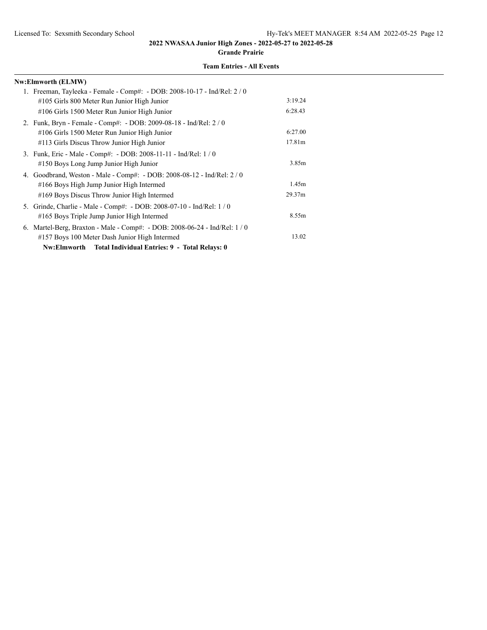**Grande Prairie**

| Nw:Elmworth (ELMW)                                                         |         |
|----------------------------------------------------------------------------|---------|
| 1. Freeman, Tayleeka - Female - Comp#: - DOB: 2008-10-17 - Ind/Rel: 2/0    |         |
| #105 Girls 800 Meter Run Junior High Junior                                | 3:19.24 |
| #106 Girls 1500 Meter Run Junior High Junior                               | 6:28.43 |
| 2. Funk, Bryn - Female - Comp#: - DOB: 2009-08-18 - Ind/Rel: 2/0           |         |
| #106 Girls 1500 Meter Run Junior High Junior                               | 6:27.00 |
| #113 Girls Discus Throw Junior High Junior                                 | 17.81m  |
| 3. Funk, Eric - Male - Comp#: - DOB: 2008-11-11 - Ind/Rel: 1 / 0           |         |
| #150 Boys Long Jump Junior High Junior                                     | 3.85m   |
| 4. Goodbrand, Weston - Male - Comp#: - DOB: 2008-08-12 - Ind/Rel: 2 / 0    |         |
| #166 Boys High Jump Junior High Intermed                                   | 1.45m   |
| #169 Boys Discus Throw Junior High Intermed                                | 29.37m  |
| 5. Grinde, Charlie - Male - Comp#: - DOB: 2008-07-10 - Ind/Rel: 1/0        |         |
| #165 Boys Triple Jump Junior High Intermed                                 | 8.55m   |
| 6. Martel-Berg, Braxton - Male - Comp#: - DOB: 2008-06-24 - Ind/Rel: 1 / 0 |         |
| #157 Boys 100 Meter Dash Junior High Intermed                              | 13.02   |
| Nw:Elmworth Total Individual Entries: 9 - Total Relays: 0                  |         |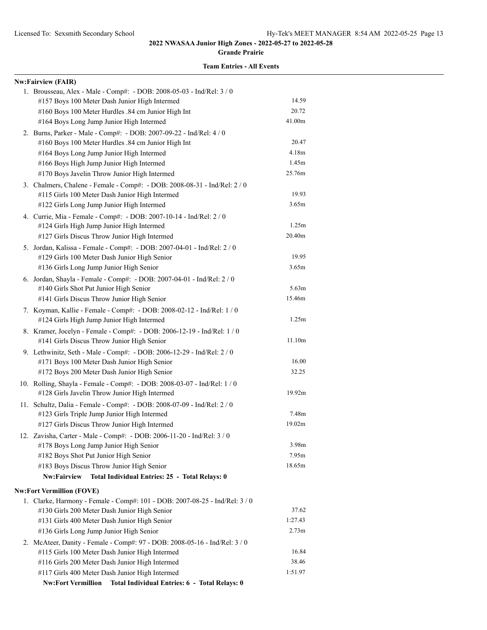**Grande Prairie**

| <b>Nw:Fairview (FAIR)</b>                                                                                             |                   |
|-----------------------------------------------------------------------------------------------------------------------|-------------------|
| 1. Brousseau, Alex - Male - Comp#: - DOB: 2008-05-03 - Ind/Rel: 3 / 0                                                 |                   |
| #157 Boys 100 Meter Dash Junior High Intermed                                                                         | 14.59             |
| #160 Boys 100 Meter Hurdles .84 cm Junior High Int                                                                    | 20.72             |
| #164 Boys Long Jump Junior High Intermed                                                                              | 41.00m            |
| 2. Burns, Parker - Male - Comp#: - DOB: 2007-09-22 - Ind/Rel: 4 / 0                                                   |                   |
| #160 Boys 100 Meter Hurdles .84 cm Junior High Int                                                                    | 20.47             |
| #164 Boys Long Jump Junior High Intermed                                                                              | 4.18m             |
| #166 Boys High Jump Junior High Intermed                                                                              | 1.45m             |
| #170 Boys Javelin Throw Junior High Intermed                                                                          | 25.76m            |
| 3. Chalmers, Chalene - Female - Comp#: - DOB: 2008-08-31 - Ind/Rel: 2 / 0                                             |                   |
| #115 Girls 100 Meter Dash Junior High Intermed                                                                        | 19.93             |
| #122 Girls Long Jump Junior High Intermed                                                                             | 3.65m             |
| 4. Currie, Mia - Female - Comp#: - DOB: 2007-10-14 - Ind/Rel: 2 / 0                                                   |                   |
| #124 Girls High Jump Junior High Intermed                                                                             | 1.25m             |
| #127 Girls Discus Throw Junior High Intermed                                                                          | 20.40m            |
| 5. Jordan, Kalissa - Female - Comp#: - DOB: 2007-04-01 - Ind/Rel: 2 / 0                                               |                   |
| #129 Girls 100 Meter Dash Junior High Senior                                                                          | 19.95             |
| #136 Girls Long Jump Junior High Senior                                                                               | 3.65m             |
| 6. Jordan, Shayla - Female - Comp#: - DOB: 2007-04-01 - Ind/Rel: 2 / 0                                                | 5.63 <sub>m</sub> |
| #140 Girls Shot Put Junior High Senior<br>#141 Girls Discus Throw Junior High Senior                                  | 15.46m            |
|                                                                                                                       |                   |
| 7. Koyman, Kallie - Female - Comp#: - DOB: 2008-02-12 - Ind/Rel: 1 / 0<br>#124 Girls High Jump Junior High Intermed   | 1.25m             |
|                                                                                                                       |                   |
| 8. Kramer, Jocelyn - Female - Comp#: - DOB: 2006-12-19 - Ind/Rel: 1 / 0<br>#141 Girls Discus Throw Junior High Senior | 11.10m            |
| 9. Lethwinitz, Seth - Male - Comp#: - DOB: 2006-12-29 - Ind/Rel: 2 / 0                                                |                   |
| #171 Boys 100 Meter Dash Junior High Senior                                                                           | 16.00             |
| #172 Boys 200 Meter Dash Junior High Senior                                                                           | 32.25             |
| 10. Rolling, Shayla - Female - Comp#: - DOB: 2008-03-07 - Ind/Rel: 1 / 0                                              |                   |
| #128 Girls Javelin Throw Junior High Intermed                                                                         | 19.92m            |
| 11. Schultz, Dalia - Female - Comp#: - DOB: 2008-07-09 - Ind/Rel: 2 / 0                                               |                   |
| #123 Girls Triple Jump Junior High Intermed                                                                           | 7.48m             |
| #127 Girls Discus Throw Junior High Intermed                                                                          | 19.02m            |
| 12. Zavisha, Carter - Male - Comp#: - DOB: 2006-11-20 - Ind/Rel: 3 / 0                                                |                   |
| #178 Boys Long Jump Junior High Senior                                                                                | 3.98 <sub>m</sub> |
| #182 Boys Shot Put Junior High Senior                                                                                 | 7.95m             |
| #183 Boys Discus Throw Junior High Senior                                                                             | 18.65m            |
| Nw:Fairview<br>Total Individual Entries: 25 - Total Relays: 0                                                         |                   |
| <b>Nw:Fort Vermillion (FOVE)</b>                                                                                      |                   |
| 1. Clarke, Harmony - Female - Comp#: 101 - DOB: 2007-08-25 - Ind/Rel: 3 / 0                                           |                   |
| #130 Girls 200 Meter Dash Junior High Senior                                                                          | 37.62             |
| #131 Girls 400 Meter Dash Junior High Senior                                                                          | 1:27.43           |
| #136 Girls Long Jump Junior High Senior                                                                               | 2.73 <sub>m</sub> |
| 2. McAteer, Danity - Female - Comp#: 97 - DOB: 2008-05-16 - Ind/Rel: 3 / 0                                            |                   |
| #115 Girls 100 Meter Dash Junior High Intermed                                                                        | 16.84             |
| #116 Girls 200 Meter Dash Junior High Intermed                                                                        | 38.46             |
| #117 Girls 400 Meter Dash Junior High Intermed                                                                        | 1:51.97           |
| <b>Nw:Fort Vermillion</b><br>Total Individual Entries: 6 - Total Relays: 0                                            |                   |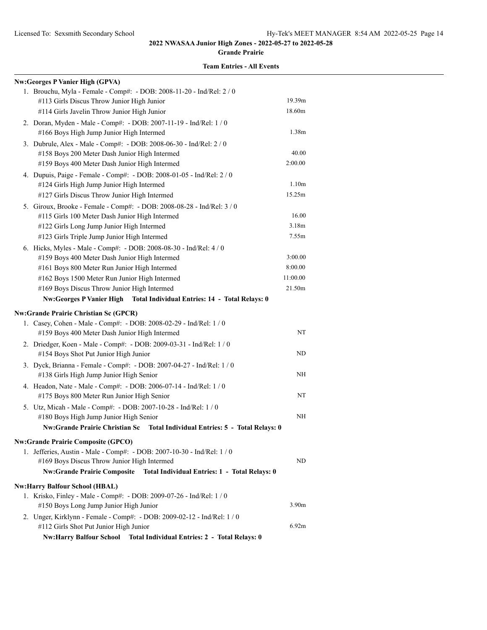#### **Grande Prairie**

| Nw:Georges P Vanier High (GPVA)                                               |                   |
|-------------------------------------------------------------------------------|-------------------|
| 1. Brouchu, Myla - Female - Comp#: - DOB: 2008-11-20 - Ind/Rel: 2 / 0         |                   |
| #113 Girls Discus Throw Junior High Junior                                    | 19.39m            |
| #114 Girls Javelin Throw Junior High Junior                                   | 18.60m            |
| 2. Doran, Myden - Male - Comp#: - DOB: 2007-11-19 - Ind/Rel: 1 / 0            |                   |
| #166 Boys High Jump Junior High Intermed                                      | 1.38m             |
| 3. Dubrule, Alex - Male - Comp#: - DOB: 2008-06-30 - Ind/Rel: 2 / 0           |                   |
| #158 Boys 200 Meter Dash Junior High Intermed                                 | 40.00             |
| #159 Boys 400 Meter Dash Junior High Intermed                                 | 2:00.00           |
| 4. Dupuis, Paige - Female - Comp#: - DOB: 2008-01-05 - Ind/Rel: 2 / 0         |                   |
| #124 Girls High Jump Junior High Intermed                                     | 1.10 <sub>m</sub> |
| #127 Girls Discus Throw Junior High Intermed                                  | 15.25m            |
| 5. Giroux, Brooke - Female - Comp#: - DOB: 2008-08-28 - Ind/Rel: 3 / 0        |                   |
| #115 Girls 100 Meter Dash Junior High Intermed                                | 16.00             |
| #122 Girls Long Jump Junior High Intermed                                     | 3.18m             |
| #123 Girls Triple Jump Junior High Intermed                                   | 7.55m             |
| 6. Hicks, Myles - Male - Comp#: - DOB: 2008-08-30 - Ind/Rel: 4 / 0            |                   |
| #159 Boys 400 Meter Dash Junior High Intermed                                 | 3:00.00           |
| #161 Boys 800 Meter Run Junior High Intermed                                  | 8:00.00           |
| #162 Boys 1500 Meter Run Junior High Intermed                                 | 11:00.00          |
| #169 Boys Discus Throw Junior High Intermed                                   | 21.50m            |
| Nw:Georges P Vanier High Total Individual Entries: 14 - Total Relays: 0       |                   |
| <b>Nw:Grande Prairie Christian Sc (GPCR)</b>                                  |                   |
| 1. Casey, Cohen - Male - Comp#: - DOB: 2008-02-29 - Ind/Rel: 1 / 0            |                   |
| #159 Boys 400 Meter Dash Junior High Intermed                                 | NT                |
| 2. Driedger, Koen - Male - Comp#: - DOB: 2009-03-31 - Ind/Rel: 1 / 0          |                   |
| #154 Boys Shot Put Junior High Junior                                         | ND                |
| 3. Dyck, Brianna - Female - Comp#: - DOB: 2007-04-27 - Ind/Rel: 1 / 0         |                   |
| #138 Girls High Jump Junior High Senior                                       | NH                |
| 4. Headon, Nate - Male - Comp#: - DOB: 2006-07-14 - Ind/Rel: 1 / 0            |                   |
| #175 Boys 800 Meter Run Junior High Senior                                    | NT                |
| 5. Utz, Micah - Male - Comp#: - DOB: 2007-10-28 - Ind/Rel: 1 / 0              |                   |
| #180 Boys High Jump Junior High Senior                                        | NH                |
| Nw:Grande Prairie Christian Sc  Total Individual Entries: 5 - Total Relays: 0 |                   |
| <b>Nw:Grande Prairie Composite (GPCO)</b>                                     |                   |
| 1. Jefferies, Austin - Male - Comp#: - DOB: 2007-10-30 - Ind/Rel: 1 / 0       |                   |
| #169 Boys Discus Throw Junior High Intermed                                   | ND                |
| Nw:Grande Prairie Composite  Total Individual Entries: 1 - Total Relays: 0    |                   |
| <b>Nw:Harry Balfour School (HBAL)</b>                                         |                   |
| 1. Krisko, Finley - Male - Comp#: - DOB: 2009-07-26 - Ind/Rel: 1 / 0          |                   |
| #150 Boys Long Jump Junior High Junior                                        | 3.90 <sub>m</sub> |
| 2. Unger, Kirklynn - Female - Comp#: - DOB: 2009-02-12 - Ind/Rel: 1 / 0       |                   |
| #112 Girls Shot Put Junior High Junior                                        | 6.92m             |
| Nw:Harry Balfour School Total Individual Entries: 2 - Total Relays: 0         |                   |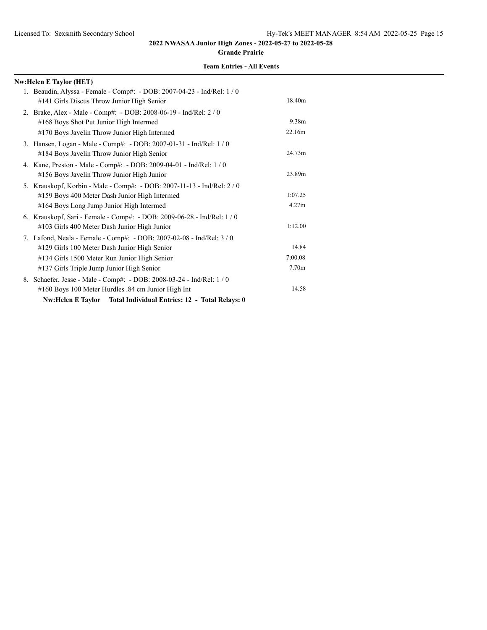#### **Grande Prairie**

| <b>Nw:Helen E Taylor (HET)</b>                                                                                                                                                                                     |                                       |
|--------------------------------------------------------------------------------------------------------------------------------------------------------------------------------------------------------------------|---------------------------------------|
| 1. Beaudin, Alyssa - Female - Comp#: - DOB: 2007-04-23 - Ind/Rel: 1 / 0<br>#141 Girls Discus Throw Junior High Senior                                                                                              | 18.40m                                |
| 2. Brake, Alex - Male - Comp#: - DOB: 2008-06-19 - Ind/Rel: 2 / 0<br>#168 Boys Shot Put Junior High Intermed<br>#170 Boys Javelin Throw Junior High Intermed                                                       | 9.38m<br>22.16m                       |
| 3. Hansen, Logan - Male - Comp#: - DOB: 2007-01-31 - Ind/Rel: 1 / 0<br>#184 Boys Javelin Throw Junior High Senior                                                                                                  | 24.73m                                |
| 4. Kane, Preston - Male - Comp#: - DOB: 2009-04-01 - Ind/Rel: 1 / 0<br>#156 Boys Javelin Throw Junior High Junior                                                                                                  | 23.89m                                |
| 5. Krauskopf, Korbin - Male - Comp#: - DOB: 2007-11-13 - Ind/Rel: 2 / 0<br>#159 Boys 400 Meter Dash Junior High Intermed<br>#164 Boys Long Jump Junior High Intermed                                               | 1:07.25<br>4.27m                      |
| 6. Krauskopf, Sari - Female - Comp#: - DOB: 2009-06-28 - Ind/Rel: 1 / 0<br>#103 Girls 400 Meter Dash Junior High Junior                                                                                            | 1:12.00                               |
| 7. Lafond, Neala - Female - Comp#: - DOB: 2007-02-08 - Ind/Rel: 3 / 0<br>#129 Girls 100 Meter Dash Junior High Senior<br>#134 Girls 1500 Meter Run Junior High Senior<br>#137 Girls Triple Jump Junior High Senior | 14.84<br>7:00.08<br>7.70 <sub>m</sub> |
| 8. Schaefer, Jesse - Male - Comp#: - DOB: 2008-03-24 - Ind/Rel: 1/0<br>#160 Boys 100 Meter Hurdles .84 cm Junior High Int<br><b>Nw:Helen E Taylor</b><br>Total Individual Entries: 12 - Total Relays: 0            | 14.58                                 |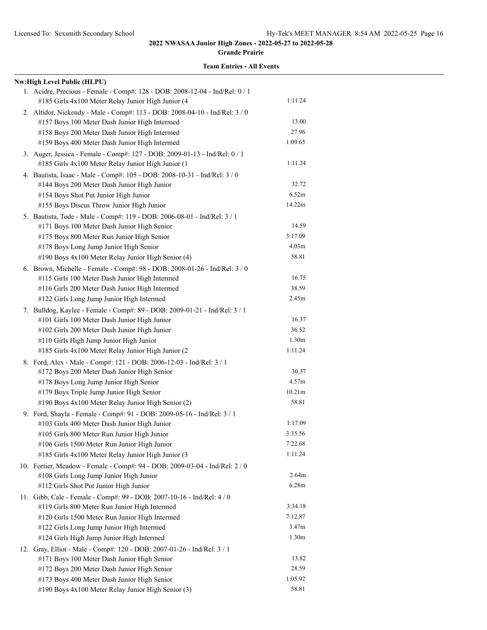**Grande Prairie**

| Nw:High Level Public (HLPU)                                                                                                        |                                        |
|------------------------------------------------------------------------------------------------------------------------------------|----------------------------------------|
| 1. Acidre, Precious - Female - Comp#: 128 - DOB: 2008-12-04 - Ind/Rel: 0 / 1<br>#185 Girls 4x100 Meter Relay Junior High Junior (4 | 1:11.24                                |
| 2. Altidor, Nickendy - Male - Comp#: 113 - DOB: 2008-04-10 - Ind/Rel: 3 / 0                                                        |                                        |
| #157 Boys 100 Meter Dash Junior High Intermed                                                                                      | 13.00                                  |
| #158 Boys 200 Meter Dash Junior High Intermed                                                                                      | 27.96                                  |
| #159 Boys 400 Meter Dash Junior High Intermed                                                                                      | 1:09.65                                |
| 3. Auger, Jessica - Female - Comp#: 127 - DOB: 2009-01-13 - Ind/Rel: 0 / 1                                                         |                                        |
| #185 Girls 4x100 Meter Relay Junior High Junior (1                                                                                 | 1:11.24                                |
| 4. Bautista, Isaac - Male - Comp#: 105 - DOB: 2008-10-31 - Ind/Rel: 3 / 0                                                          |                                        |
| #144 Boys 200 Meter Dash Junior High Junior                                                                                        | 32.72                                  |
| #154 Boys Shot Put Junior High Junior                                                                                              | 6.52m                                  |
| #155 Boys Discus Throw Junior High Junior                                                                                          | 14.22m                                 |
| 5. Bautista, Tode - Male - Comp#: 119 - DOB: 2006-08-01 - Ind/Rel: 3 / 1                                                           |                                        |
| #171 Boys 100 Meter Dash Junior High Senior                                                                                        | 14.59                                  |
| #175 Boys 800 Meter Run Junior High Senior                                                                                         | 3:17.09                                |
| #178 Boys Long Jump Junior High Senior                                                                                             | 4.03 <sub>m</sub>                      |
| #190 Boys 4x100 Meter Relay Junior High Senior (4)                                                                                 | 58.81                                  |
| 6. Brown, Michelle - Female - Comp#: 98 - DOB: 2008-01-26 - Ind/Rel: 3 / 0                                                         |                                        |
| #115 Girls 100 Meter Dash Junior High Intermed                                                                                     | 16.75                                  |
| #116 Girls 200 Meter Dash Junior High Intermed                                                                                     | 38.59                                  |
| #122 Girls Long Jump Junior High Intermed                                                                                          | 2.45m                                  |
| 7. Bulldog, Kaylee - Female - Comp#: 89 - DOB: 2009-01-21 - Ind/Rel: 3 / 1                                                         |                                        |
| #101 Girls 100 Meter Dash Junior High Junior                                                                                       | 16.37                                  |
| #102 Girls 200 Meter Dash Junior High Junior                                                                                       | 36.52                                  |
| #110 Girls High Jump Junior High Junior                                                                                            | 1.30 <sub>m</sub>                      |
| #185 Girls 4x100 Meter Relay Junior High Junior (2                                                                                 | 1:11.24                                |
| 8. Ford, Alex - Male - Comp#: 121 - DOB: 2006-12-03 - Ind/Rel: 3 / 1                                                               |                                        |
| #172 Boys 200 Meter Dash Junior High Senior                                                                                        | 30.37                                  |
| #178 Boys Long Jump Junior High Senior                                                                                             | 4.57 <sub>m</sub>                      |
| #179 Boys Triple Jump Junior High Senior                                                                                           | 10.21m                                 |
| #190 Boys 4x100 Meter Relay Junior High Senior (2)                                                                                 | 58.81                                  |
| 9. Ford, Shayla - Female - Comp#: 91 - DOB: 2009-05-16 - Ind/Rel: 3 / 1                                                            |                                        |
| #103 Girls 400 Meter Dash Junior High Junior                                                                                       | 1:17.09                                |
| #105 Girls 800 Meter Run Junior High Junior                                                                                        | 3:35.56                                |
| #106 Girls 1500 Meter Run Junior High Junior                                                                                       | 7:22.68                                |
| #185 Girls 4x100 Meter Relay Junior High Junior (3                                                                                 | 1:11.24                                |
| 10. Fortier, Meadow - Female - Comp#: 94 - DOB: 2009-03-04 - Ind/Rel: 2 / 0                                                        |                                        |
| #108 Girls Long Jump Junior High Junior                                                                                            | 2.64m                                  |
| #112 Girls Shot Put Junior High Junior                                                                                             | 6.28m                                  |
| 11. Gibb, Cale - Female - Comp#: 99 - DOB: 2007-10-16 - Ind/Rel: 4 / 0                                                             |                                        |
| #119 Girls 800 Meter Run Junior High Intermed                                                                                      | 3:34.18                                |
| #120 Girls 1500 Meter Run Junior High Intermed                                                                                     | 7:12.87                                |
| #122 Girls Long Jump Junior High Intermed                                                                                          | 3.47 <sub>m</sub><br>1.30 <sub>m</sub> |
| #124 Girls High Jump Junior High Intermed                                                                                          |                                        |
| 12. Gray, Elliot - Male - Comp#: 120 - DOB: 2007-01-26 - Ind/Rel: 3 / 1                                                            |                                        |
| #171 Boys 100 Meter Dash Junior High Senior                                                                                        | 13.82<br>28.59                         |
| #172 Boys 200 Meter Dash Junior High Senior                                                                                        | 1:05.92                                |
| #173 Boys 400 Meter Dash Junior High Senior                                                                                        | 58.81                                  |
| #190 Boys 4x100 Meter Relay Junior High Senior (3)                                                                                 |                                        |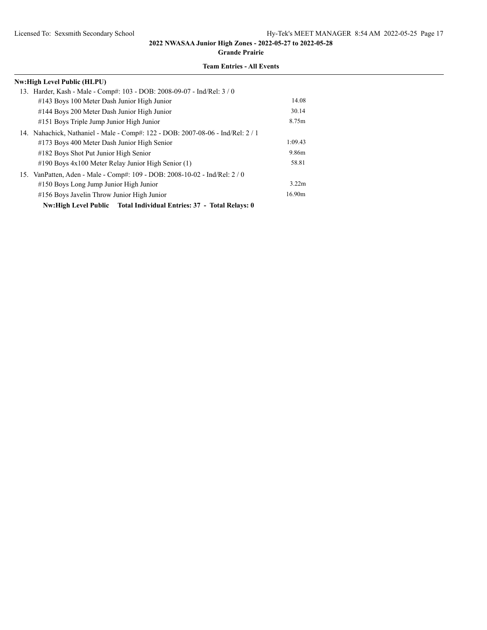**Grande Prairie**

| Nw:High Level Public (HLPU)                                                     |                   |
|---------------------------------------------------------------------------------|-------------------|
| 13. Harder, Kash - Male - Comp#: 103 - DOB: 2008-09-07 - Ind/Rel: 3 / 0         |                   |
| #143 Boys 100 Meter Dash Junior High Junior                                     | 14.08             |
| #144 Boys 200 Meter Dash Junior High Junior                                     | 30.14             |
| #151 Boys Triple Jump Junior High Junior                                        | 8.75m             |
| 14. Nahachick, Nathaniel - Male - Comp#: 122 - DOB: 2007-08-06 - Ind/Rel: 2 / 1 |                   |
| #173 Boys 400 Meter Dash Junior High Senior                                     | 1:09.43           |
| #182 Boys Shot Put Junior High Senior                                           | 9.86m             |
| $\#190$ Boys $4x100$ Meter Relay Junior High Senior (1)                         | 58.81             |
| 15. VanPatten, Aden - Male - Comp#: 109 - DOB: 2008-10-02 - Ind/Rel: 2 / 0      |                   |
| #150 Boys Long Jump Junior High Junior                                          | 3.22 <sub>m</sub> |
| #156 Boys Javelin Throw Junior High Junior                                      | 16.90m            |
| Nw:High Level Public Total Individual Entries: 37 - Total Relays: 0             |                   |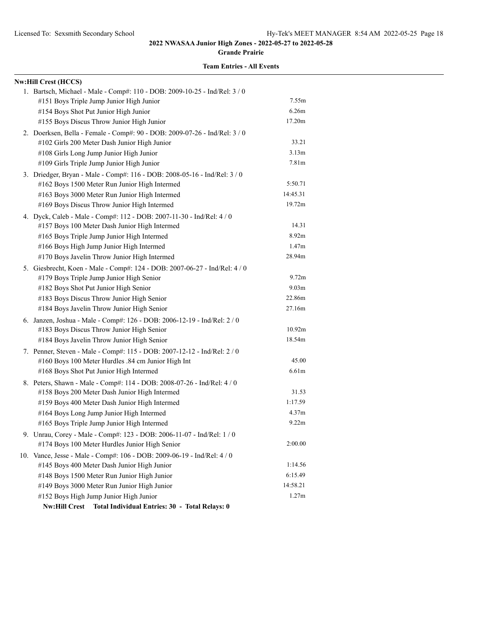**Grande Prairie**

| <b>Nw:Hill Crest (HCCS)</b>                                                |                   |
|----------------------------------------------------------------------------|-------------------|
| 1. Bartsch, Michael - Male - Comp#: 110 - DOB: 2009-10-25 - Ind/Rel: 3 / 0 |                   |
| #151 Boys Triple Jump Junior High Junior                                   | 7.55m             |
| #154 Boys Shot Put Junior High Junior                                      | 6.26m             |
| #155 Boys Discus Throw Junior High Junior                                  | 17.20m            |
| 2. Doerksen, Bella - Female - Comp#: 90 - DOB: 2009-07-26 - Ind/Rel: 3 / 0 |                   |
| #102 Girls 200 Meter Dash Junior High Junior                               | 33.21             |
| #108 Girls Long Jump Junior High Junior                                    | 3.13m             |
| #109 Girls Triple Jump Junior High Junior                                  | 7.81m             |
| 3. Driedger, Bryan - Male - Comp#: 116 - DOB: 2008-05-16 - Ind/Rel: 3 / 0  |                   |
| #162 Boys 1500 Meter Run Junior High Intermed                              | 5:50.71           |
| #163 Boys 3000 Meter Run Junior High Intermed                              | 14:45.31          |
| #169 Boys Discus Throw Junior High Intermed                                | 19.72m            |
| 4. Dyck, Caleb - Male - Comp#: 112 - DOB: 2007-11-30 - Ind/Rel: 4 / 0      |                   |
| #157 Boys 100 Meter Dash Junior High Intermed                              | 14.31             |
| #165 Boys Triple Jump Junior High Intermed                                 | 8.92 <sub>m</sub> |
| #166 Boys High Jump Junior High Intermed                                   | 1.47m             |
| #170 Boys Javelin Throw Junior High Intermed                               | 28.94m            |
| 5. Giesbrecht, Koen - Male - Comp#: 124 - DOB: 2007-06-27 - Ind/Rel: 4 / 0 |                   |
| #179 Boys Triple Jump Junior High Senior                                   | 9.72m             |
| #182 Boys Shot Put Junior High Senior                                      | 9.03 <sub>m</sub> |
| #183 Boys Discus Throw Junior High Senior                                  | 22.86m            |
| #184 Boys Javelin Throw Junior High Senior                                 | 27.16m            |
| 6. Janzen, Joshua - Male - Comp#: 126 - DOB: 2006-12-19 - Ind/Rel: 2 / 0   |                   |
| #183 Boys Discus Throw Junior High Senior                                  | 10.92m            |
| #184 Boys Javelin Throw Junior High Senior                                 | 18.54m            |
| 7. Penner, Steven - Male - Comp#: 115 - DOB: 2007-12-12 - Ind/Rel: 2 / 0   |                   |
| #160 Boys 100 Meter Hurdles .84 cm Junior High Int                         | 45.00             |
| #168 Boys Shot Put Junior High Intermed                                    | 6.61m             |
| 8. Peters, Shawn - Male - Comp#: 114 - DOB: 2008-07-26 - Ind/Rel: 4 / 0    |                   |
| #158 Boys 200 Meter Dash Junior High Intermed                              | 31.53             |
| #159 Boys 400 Meter Dash Junior High Intermed                              | 1:17.59           |
| #164 Boys Long Jump Junior High Intermed                                   | 4.37 <sub>m</sub> |
| #165 Boys Triple Jump Junior High Intermed                                 | 9.22m             |
| 9. Unrau, Corey - Male - Comp#: 123 - DOB: 2006-11-07 - Ind/Rel: 1 / 0     |                   |
| #174 Boys 100 Meter Hurdles Junior High Senior                             | 2:00.00           |
| 10. Vance, Jesse - Male - Comp#: 106 - DOB: 2009-06-19 - Ind/Rel: 4 / 0    |                   |
| #145 Boys 400 Meter Dash Junior High Junior                                | 1:14.56           |
| #148 Boys 1500 Meter Run Junior High Junior                                | 6:15.49           |
| #149 Boys 3000 Meter Run Junior High Junior                                | 14:58.21          |
| #152 Boys High Jump Junior High Junior                                     | 1.27m             |
| <b>Nw:Hill Crest</b><br>Total Individual Entries: 30 - Total Relays: 0     |                   |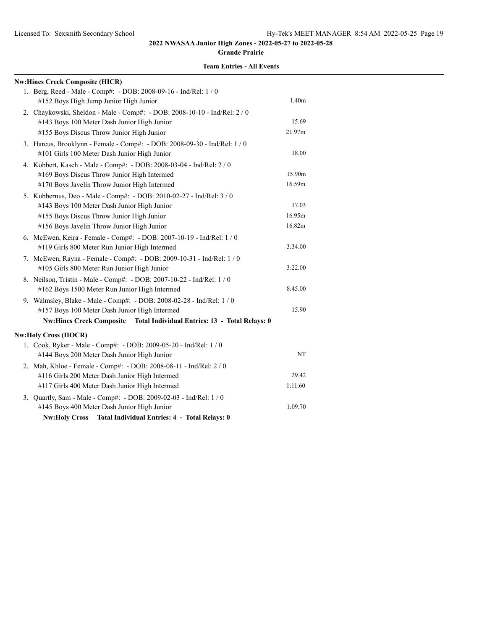**Grande Prairie**

| <b>Nw:Hines Creek Composite (HICR)</b>                                    |                   |
|---------------------------------------------------------------------------|-------------------|
| 1. Berg, Reed - Male - Comp#: - DOB: 2008-09-16 - Ind/Rel: 1 / 0          |                   |
| #152 Boys High Jump Junior High Junior                                    | 1.40 <sub>m</sub> |
| 2. Chaykowski, Sheldon - Male - Comp#: - DOB: 2008-10-10 - Ind/Rel: 2 / 0 |                   |
| #143 Boys 100 Meter Dash Junior High Junior                               | 15.69             |
| #155 Boys Discus Throw Junior High Junior                                 | 21.97m            |
| 3. Harcus, Brooklynn - Female - Comp#: - DOB: 2008-09-30 - Ind/Rel: 1 / 0 |                   |
| #101 Girls 100 Meter Dash Junior High Junior                              | 18.00             |
| 4. Kobbert, Kasch - Male - Comp#: - DOB: 2008-03-04 - Ind/Rel: 2 / 0      |                   |
| #169 Boys Discus Throw Junior High Intermed                               | 15.90m            |
| #170 Boys Javelin Throw Junior High Intermed                              | 16.59m            |
| 5. Kubbernus, Deo - Male - Comp#: - DOB: 2010-02-27 - Ind/Rel: 3 / 0      |                   |
| #143 Boys 100 Meter Dash Junior High Junior                               | 17.03             |
| #155 Boys Discus Throw Junior High Junior                                 | 16.95m            |
| #156 Boys Javelin Throw Junior High Junior                                | 16.82m            |
| 6. McEwen, Keira - Female - Comp#: - DOB: 2007-10-19 - Ind/Rel: 1 / 0     |                   |
| #119 Girls 800 Meter Run Junior High Intermed                             | 3:34.00           |
| 7. McEwen, Rayna - Female - Comp#: - DOB: 2009-10-31 - Ind/Rel: 1 / 0     |                   |
| #105 Girls 800 Meter Run Junior High Junior                               | 3:22.00           |
| 8. Neilson, Tristin - Male - Comp#: - DOB: 2007-10-22 - Ind/Rel: 1 / 0    |                   |
| #162 Boys 1500 Meter Run Junior High Intermed                             | 8:45.00           |
| 9. Walmsley, Blake - Male - Comp#: - DOB: 2008-02-28 - Ind/Rel: 1 / 0     |                   |
| #157 Boys 100 Meter Dash Junior High Intermed                             | 15.90             |
| Nw:Hines Creek Composite Total Individual Entries: 13 - Total Relays: 0   |                   |
| <b>Nw:Holy Cross (HOCR)</b>                                               |                   |
| 1. Cook, Ryker - Male - Comp#: - DOB: 2009-05-20 - Ind/Rel: 1 / 0         |                   |
| #144 Boys 200 Meter Dash Junior High Junior                               | NT                |
| 2. Mah, Khloe - Female - Comp#: - DOB: 2008-08-11 - Ind/Rel: 2 / 0        |                   |
| #116 Girls 200 Meter Dash Junior High Intermed                            | 29.42             |
| #117 Girls 400 Meter Dash Junior High Intermed                            | 1:11.60           |
| 3. Quartly, Sam - Male - Comp#: - DOB: 2009-02-03 - Ind/Rel: 1 / 0        |                   |
| #145 Boys 400 Meter Dash Junior High Junior                               | 1:09.70           |
| <b>Nw:Holy Cross</b><br>Total Individual Entries: 4 - Total Relays: 0     |                   |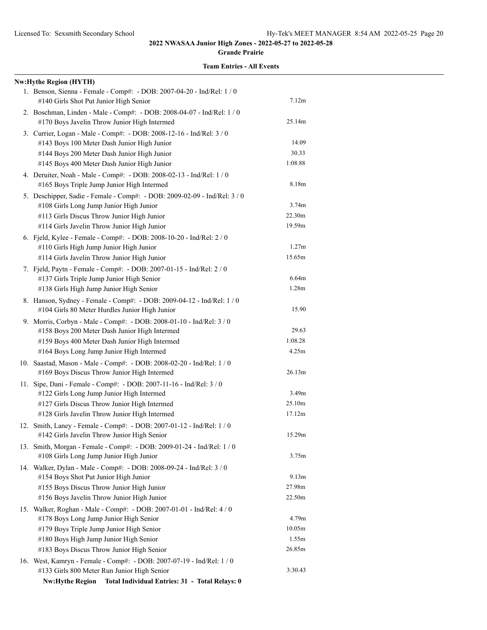**Grande Prairie**

| <b>Nw:Hythe Region (HYTH)</b>                                                                                            |                   |
|--------------------------------------------------------------------------------------------------------------------------|-------------------|
| 1. Benson, Sienna - Female - Comp#: - DOB: 2007-04-20 - Ind/Rel: 1 / 0<br>#140 Girls Shot Put Junior High Senior         | 7.12m             |
| 2. Boschman, Linden - Male - Comp#: - DOB: 2008-04-07 - Ind/Rel: 1 / 0<br>#170 Boys Javelin Throw Junior High Intermed   | 25.14m            |
| 3. Currier, Logan - Male - Comp#: - DOB: 2008-12-16 - Ind/Rel: 3 / 0                                                     |                   |
| #143 Boys 100 Meter Dash Junior High Junior                                                                              | 14.09             |
| #144 Boys 200 Meter Dash Junior High Junior                                                                              | 30.33             |
| #145 Boys 400 Meter Dash Junior High Junior                                                                              | 1:08.88           |
| 4. Deruiter, Noah - Male - Comp#: - DOB: 2008-02-13 - Ind/Rel: 1 / 0<br>#165 Boys Triple Jump Junior High Intermed       | 8.18m             |
| 5. Deschipper, Sadie - Female - Comp#: - DOB: 2009-02-09 - Ind/Rel: 3 / 0                                                |                   |
| #108 Girls Long Jump Junior High Junior                                                                                  | 3.74 <sub>m</sub> |
| #113 Girls Discus Throw Junior High Junior                                                                               | 22.30m            |
| #114 Girls Javelin Throw Junior High Junior                                                                              | 19.59m            |
| 6. Fjeld, Kylee - Female - Comp#: - DOB: 2008-10-20 - Ind/Rel: 2 / 0                                                     |                   |
| #110 Girls High Jump Junior High Junior                                                                                  | 1.27m             |
| #114 Girls Javelin Throw Junior High Junior                                                                              | 15.65m            |
| 7. Fjeld, Paytn - Female - Comp#: - DOB: 2007-01-15 - Ind/Rel: 2 / 0                                                     |                   |
| #137 Girls Triple Jump Junior High Senior                                                                                | 6.64m             |
| #138 Girls High Jump Junior High Senior                                                                                  | 1.28m             |
| 8. Hanson, Sydney - Female - Comp#: - DOB: 2009-04-12 - Ind/Rel: 1 / 0<br>#104 Girls 80 Meter Hurdles Junior High Junior | 15.90             |
| 9. Morris, Corbyn - Male - Comp#: - DOB: 2008-01-10 - Ind/Rel: 3 / 0                                                     |                   |
| #158 Boys 200 Meter Dash Junior High Intermed                                                                            | 29.63             |
| #159 Boys 400 Meter Dash Junior High Intermed                                                                            | 1:08.28           |
| #164 Boys Long Jump Junior High Intermed                                                                                 | 4.25m             |
| 10. Saastad, Mason - Male - Comp#: - DOB: 2008-02-20 - Ind/Rel: 1 / 0                                                    |                   |
| #169 Boys Discus Throw Junior High Intermed                                                                              | 26.13m            |
| 11. Sipe, Dani - Female - Comp#: - DOB: 2007-11-16 - Ind/Rel: 3 / 0                                                      |                   |
| #122 Girls Long Jump Junior High Intermed                                                                                | 3.49m             |
| #127 Girls Discus Throw Junior High Intermed                                                                             | 25.10m            |
| #128 Girls Javelin Throw Junior High Intermed                                                                            | 17.12m            |
| 12. Smith, Laney - Female - Comp#: - DOB: 2007-01-12 - Ind/Rel: 1 / 0                                                    |                   |
| #142 Girls Javelin Throw Junior High Senior                                                                              | 15.29m            |
| 13. Smith, Morgan - Female - Comp#: - DOB: 2009-01-24 - Ind/Rel: 1 / 0                                                   |                   |
| #108 Girls Long Jump Junior High Junior                                                                                  | 3.75m             |
| 14. Walker, Dylan - Male - Comp#: - DOB: 2008-09-24 - Ind/Rel: 3 / 0                                                     |                   |
| #154 Boys Shot Put Junior High Junior                                                                                    | 9.13 <sub>m</sub> |
| #155 Boys Discus Throw Junior High Junior                                                                                | 27.98m            |
| #156 Boys Javelin Throw Junior High Junior                                                                               | 22.50m            |
| 15. Walker, Roghan - Male - Comp#: - DOB: 2007-01-01 - Ind/Rel: 4 / 0                                                    |                   |
| #178 Boys Long Jump Junior High Senior                                                                                   | 4.79m             |
| #179 Boys Triple Jump Junior High Senior                                                                                 | 10.05m            |
| #180 Boys High Jump Junior High Senior                                                                                   | 1.55m             |
| #183 Boys Discus Throw Junior High Senior                                                                                | 26.85m            |
| 16. West, Kamryn - Female - Comp#: - DOB: 2007-07-19 - Ind/Rel: 1 / 0                                                    |                   |
| #133 Girls 800 Meter Run Junior High Senior                                                                              | 3:30.43           |
| <b>Nw:Hythe Region</b><br>Total Individual Entries: 31 - Total Relays: 0                                                 |                   |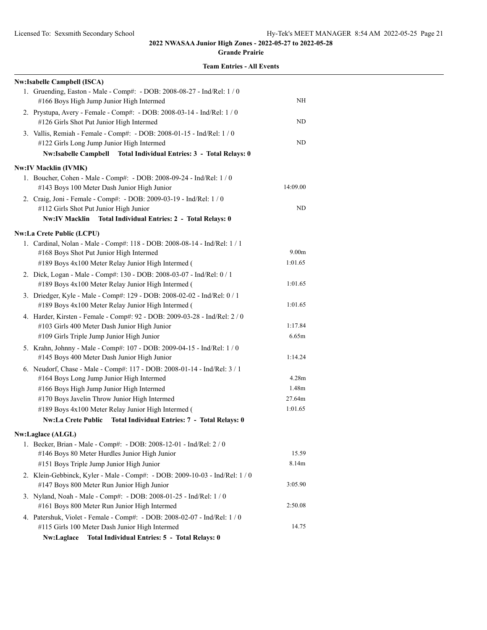#### **Grande Prairie**

| <b>Nw:Isabelle Campbell (ISCA)</b>                                                                                                                                                        |                   |
|-------------------------------------------------------------------------------------------------------------------------------------------------------------------------------------------|-------------------|
| 1. Gruending, Easton - Male - Comp#: - DOB: 2008-08-27 - Ind/Rel: 1 / 0<br>#166 Boys High Jump Junior High Intermed                                                                       | NΗ                |
| 2. Prystupa, Avery - Female - Comp#: - DOB: 2008-03-14 - Ind/Rel: 1 / 0<br>#126 Girls Shot Put Junior High Intermed                                                                       | ND                |
| 3. Vallis, Remiah - Female - Comp#: - DOB: 2008-01-15 - Ind/Rel: 1 / 0<br>#122 Girls Long Jump Junior High Intermed<br>Nw:Isabelle Campbell Total Individual Entries: 3 - Total Relays: 0 | ND                |
| <b>Nw:IV Macklin (IVMK)</b>                                                                                                                                                               |                   |
| 1. Boucher, Cohen - Male - Comp#: - DOB: 2008-09-24 - Ind/Rel: 1 / 0<br>#143 Boys 100 Meter Dash Junior High Junior                                                                       | 14:09.00          |
| 2. Craig, Joni - Female - Comp#: - DOB: 2009-03-19 - Ind/Rel: 1 / 0<br>#112 Girls Shot Put Junior High Junior                                                                             | ND                |
| Nw:IV Macklin Total Individual Entries: 2 - Total Relays: 0                                                                                                                               |                   |
| <b>Nw:La Crete Public (LCPU)</b>                                                                                                                                                          |                   |
| 1. Cardinal, Nolan - Male - Comp#: 118 - DOB: 2008-08-14 - Ind/Rel: 1 / 1                                                                                                                 |                   |
| #168 Boys Shot Put Junior High Intermed                                                                                                                                                   | 9.00 <sub>m</sub> |
| #189 Boys 4x100 Meter Relay Junior High Intermed (                                                                                                                                        | 1:01.65           |
| 2. Dick, Logan - Male - Comp#: 130 - DOB: 2008-03-07 - Ind/Rel: 0 / 1<br>#189 Boys 4x100 Meter Relay Junior High Intermed (                                                               | 1:01.65           |
| 3. Driedger, Kyle - Male - Comp#: 129 - DOB: 2008-02-02 - Ind/Rel: 0 / 1                                                                                                                  |                   |
| #189 Boys 4x100 Meter Relay Junior High Intermed (                                                                                                                                        | 1:01.65           |
| 4. Harder, Kirsten - Female - Comp#: 92 - DOB: 2009-03-28 - Ind/Rel: 2 / 0                                                                                                                |                   |
| #103 Girls 400 Meter Dash Junior High Junior                                                                                                                                              | 1:17.84           |
| #109 Girls Triple Jump Junior High Junior                                                                                                                                                 | 6.65m             |
| 5. Krahn, Johnny - Male - Comp#: 107 - DOB: 2009-04-15 - Ind/Rel: 1 / 0<br>#145 Boys 400 Meter Dash Junior High Junior                                                                    | 1:14.24           |
| 6. Neudorf, Chase - Male - Comp#: 117 - DOB: 2008-01-14 - Ind/Rel: 3 / 1                                                                                                                  |                   |
| #164 Boys Long Jump Junior High Intermed                                                                                                                                                  | 4.28m             |
| #166 Boys High Jump Junior High Intermed                                                                                                                                                  | 1.48m             |
| #170 Boys Javelin Throw Junior High Intermed                                                                                                                                              | 27.64m            |
| #189 Boys 4x100 Meter Relay Junior High Intermed (                                                                                                                                        | 1:01.65           |
| Nw:La Crete Public Total Individual Entries: 7 - Total Relays: 0                                                                                                                          |                   |
| <b>Nw:Laglace (ALGL)</b>                                                                                                                                                                  |                   |
| 1. Becker, Brian - Male - Comp#: - DOB: 2008-12-01 - Ind/Rel: 2 / 0                                                                                                                       |                   |
| #146 Boys 80 Meter Hurdles Junior High Junior                                                                                                                                             | 15.59             |
| #151 Boys Triple Jump Junior High Junior                                                                                                                                                  | 8.14m             |
| 2. Klein-Gebbinck, Kyler - Male - Comp#: - DOB: 2009-10-03 - Ind/Rel: 1 / 0<br>#147 Boys 800 Meter Run Junior High Junior                                                                 | 3:05.90           |
| 3. Nyland, Noah - Male - Comp#: - DOB: 2008-01-25 - Ind/Rel: 1 / 0<br>#161 Boys 800 Meter Run Junior High Intermed                                                                        | 2:50.08           |
| 4. Patershuk, Violet - Female - Comp#: - DOB: 2008-02-07 - Ind/Rel: 1 / 0<br>#115 Girls 100 Meter Dash Junior High Intermed                                                               | 14.75             |
| Nw:Laglace<br>Total Individual Entries: 5 - Total Relays: 0                                                                                                                               |                   |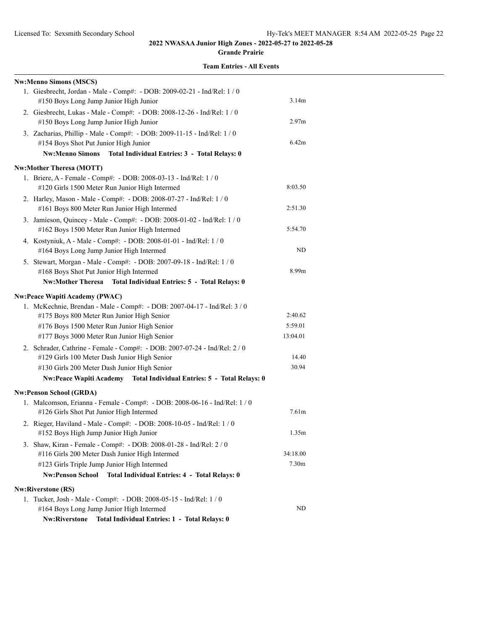#### **Grande Prairie**

|  | <b>Team Entries - All Events</b> |  |  |
|--|----------------------------------|--|--|
|--|----------------------------------|--|--|

| <b>Nw:Menno Simons (MSCS)</b>                                                                                                                                                                                                                                 |                                |
|---------------------------------------------------------------------------------------------------------------------------------------------------------------------------------------------------------------------------------------------------------------|--------------------------------|
| 1. Giesbrecht, Jordan - Male - Comp#: - DOB: 2009-02-21 - Ind/Rel: 1 / 0<br>#150 Boys Long Jump Junior High Junior                                                                                                                                            | 3.14m                          |
| 2. Giesbrecht, Lukas - Male - Comp#: - DOB: 2008-12-26 - Ind/Rel: 1 / 0<br>#150 Boys Long Jump Junior High Junior                                                                                                                                             | 2.97 <sub>m</sub>              |
| 3. Zacharias, Phillip - Male - Comp#: - DOB: 2009-11-15 - Ind/Rel: 1 / 0<br>#154 Boys Shot Put Junior High Junior<br>Nw:Menno Simons Total Individual Entries: 3 - Total Relays: 0                                                                            | 6.42m                          |
| <b>Nw:Mother Theresa (MOTT)</b>                                                                                                                                                                                                                               |                                |
| 1. Briere, A - Female - Comp#: - DOB: 2008-03-13 - Ind/Rel: 1 / 0<br>#120 Girls 1500 Meter Run Junior High Intermed                                                                                                                                           | 8:03.50                        |
| 2. Harley, Mason - Male - Comp#: - DOB: 2008-07-27 - Ind/Rel: 1 / 0<br>#161 Boys 800 Meter Run Junior High Intermed                                                                                                                                           | 2:51.30                        |
| 3. Jamieson, Quincey - Male - Comp#: - DOB: 2008-01-02 - Ind/Rel: 1 / 0<br>#162 Boys 1500 Meter Run Junior High Intermed                                                                                                                                      | 5:54.70                        |
| 4. Kostyniuk, A - Male - Comp#: - DOB: 2008-01-01 - Ind/Rel: 1 / 0<br>#164 Boys Long Jump Junior High Intermed                                                                                                                                                | ND                             |
| 5. Stewart, Morgan - Male - Comp#: - DOB: 2007-09-18 - Ind/Rel: 1 / 0<br>#168 Boys Shot Put Junior High Intermed<br>Nw:Mother Theresa Total Individual Entries: 5 - Total Relays: 0                                                                           | 8.99m                          |
|                                                                                                                                                                                                                                                               |                                |
| <b>Nw:Peace Wapiti Academy (PWAC)</b><br>1. McKechnie, Brendan - Male - Comp#: - DOB: 2007-04-17 - Ind/Rel: 3 / 0<br>#175 Boys 800 Meter Run Junior High Senior<br>#176 Boys 1500 Meter Run Junior High Senior<br>#177 Boys 3000 Meter Run Junior High Senior | 2:40.62<br>5:59.01<br>13:04.01 |
| 2. Schrader, Cathrine - Female - Comp#: - DOB: 2007-07-24 - Ind/Rel: 2 / 0<br>#129 Girls 100 Meter Dash Junior High Senior<br>#130 Girls 200 Meter Dash Junior High Senior<br>Nw:Peace Wapiti Academy  Total Individual Entries: 5 - Total Relays: 0          | 14.40<br>30.94                 |
| Nw:Penson School (GRDA)                                                                                                                                                                                                                                       |                                |
| 1. Malcomson, Erianna - Female - Comp#: - DOB: 2008-06-16 - Ind/Rel: 1 / 0<br>#126 Girls Shot Put Junior High Intermed                                                                                                                                        | 7.61 <sub>m</sub>              |
| 2. Rieger, Haviland - Male - Comp#: - DOB: 2008-10-05 - Ind/Rel: 1 / 0<br>#152 Boys High Jump Junior High Junior                                                                                                                                              | 1.35m                          |
| 3. Shaw, Kiran - Female - Comp#: - DOB: 2008-01-28 - Ind/Rel: 2 / 0<br>#116 Girls 200 Meter Dash Junior High Intermed                                                                                                                                         | 34:18.00                       |
| #123 Girls Triple Jump Junior High Intermed                                                                                                                                                                                                                   | 7.30m                          |
| <b>Nw:Penson School</b><br><b>Total Individual Entries: 4 - Total Relays: 0</b>                                                                                                                                                                               |                                |
| <b>Nw:Riverstone (RS)</b>                                                                                                                                                                                                                                     |                                |
| 1. Tucker, Josh - Male - Comp#: - DOB: 2008-05-15 - Ind/Rel: 1 / 0<br>#164 Boys Long Jump Junior High Intermed                                                                                                                                                | ND                             |
| <b>Nw:Riverstone</b><br>Total Individual Entries: 1 - Total Relays: 0                                                                                                                                                                                         |                                |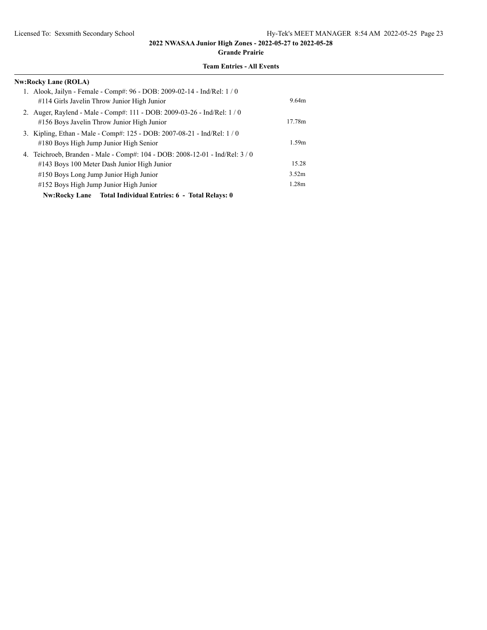#### **Grande Prairie**

| <b>Nw:Rocky Lane (ROLA)</b>                                                  |                   |
|------------------------------------------------------------------------------|-------------------|
| 1. Alook, Jailyn - Female - Comp#: 96 - DOB: 2009-02-14 - Ind/Rel: 1/0       |                   |
| #114 Girls Javelin Throw Junior High Junior                                  | 9.64m             |
| 2. Auger, Raylend - Male - Comp#: 111 - DOB: 2009-03-26 - Ind/Rel: 1 / 0     |                   |
| #156 Boys Javelin Throw Junior High Junior                                   | 17.78m            |
| 3. Kipling, Ethan - Male - Comp#: 125 - DOB: 2007-08-21 - Ind/Rel: 1 / 0     |                   |
| #180 Boys High Jump Junior High Senior                                       | 1.59m             |
| 4. Teichroeb, Branden - Male - Comp#: 104 - DOB: 2008-12-01 - Ind/Rel: 3 / 0 |                   |
| #143 Boys 100 Meter Dash Junior High Junior                                  | 15.28             |
| #150 Boys Long Jump Junior High Junior                                       | 3.52m             |
| #152 Boys High Jump Junior High Junior                                       | 1.28 <sub>m</sub> |
| Nw:Rocky Lane Total Individual Entries: 6 - Total Relays: 0                  |                   |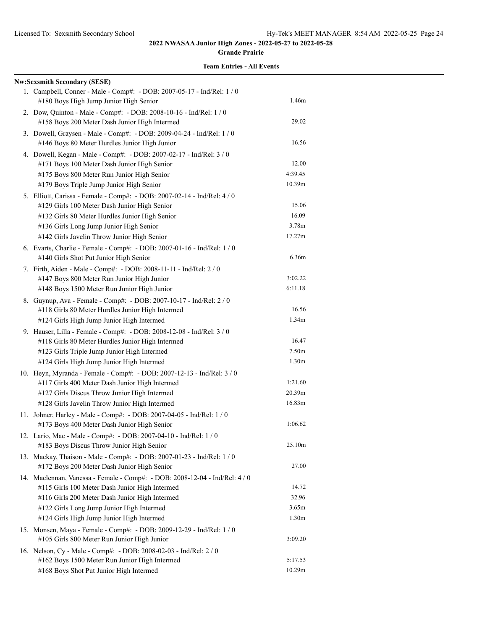#### **Grande Prairie**

| <b>Nw:Sexsmith Secondary (SESE)</b>                                                                                                                                                                                                                                       |                                              |
|---------------------------------------------------------------------------------------------------------------------------------------------------------------------------------------------------------------------------------------------------------------------------|----------------------------------------------|
| 1. Campbell, Conner - Male - Comp#: - DOB: 2007-05-17 - Ind/Rel: 1 / 0<br>#180 Boys High Jump Junior High Senior                                                                                                                                                          | 1.46m                                        |
| 2. Dow, Quinton - Male - Comp#: - DOB: 2008-10-16 - Ind/Rel: 1 / 0<br>#158 Boys 200 Meter Dash Junior High Intermed                                                                                                                                                       | 29.02                                        |
| 3. Dowell, Graysen - Male - Comp#: - DOB: 2009-04-24 - Ind/Rel: 1 / 0<br>#146 Boys 80 Meter Hurdles Junior High Junior                                                                                                                                                    | 16.56                                        |
| 4. Dowell, Kegan - Male - Comp#: - DOB: 2007-02-17 - Ind/Rel: 3 / 0<br>#171 Boys 100 Meter Dash Junior High Senior                                                                                                                                                        | 12.00                                        |
| #175 Boys 800 Meter Run Junior High Senior<br>#179 Boys Triple Jump Junior High Senior                                                                                                                                                                                    | 4:39.45<br>10.39m                            |
| 5. Elliott, Carissa - Female - Comp#: - DOB: 2007-02-14 - Ind/Rel: 4 / 0<br>#129 Girls 100 Meter Dash Junior High Senior<br>#132 Girls 80 Meter Hurdles Junior High Senior<br>#136 Girls Long Jump Junior High Senior<br>#142 Girls Javelin Throw Junior High Senior      | 15.06<br>16.09<br>3.78m<br>17.27m            |
| 6. Evarts, Charlie - Female - Comp#: - DOB: 2007-01-16 - Ind/Rel: 1 / 0<br>#140 Girls Shot Put Junior High Senior                                                                                                                                                         | 6.36m                                        |
| 7. Firth, Aiden - Male - Comp#: - DOB: 2008-11-11 - Ind/Rel: 2 / 0<br>#147 Boys 800 Meter Run Junior High Junior<br>#148 Boys 1500 Meter Run Junior High Junior                                                                                                           | 3:02.22<br>6:11.18                           |
| 8. Guynup, Ava - Female - Comp#: - DOB: 2007-10-17 - Ind/Rel: 2 / 0<br>#118 Girls 80 Meter Hurdles Junior High Intermed<br>#124 Girls High Jump Junior High Intermed                                                                                                      | 16.56<br>1.34m                               |
| 9. Hauser, Lilla - Female - Comp#: - DOB: 2008-12-08 - Ind/Rel: 3 / 0<br>#118 Girls 80 Meter Hurdles Junior High Intermed<br>#123 Girls Triple Jump Junior High Intermed                                                                                                  | 16.47<br>7.50 <sub>m</sub>                   |
| #124 Girls High Jump Junior High Intermed<br>10. Heyn, Myranda - Female - Comp#: - DOB: 2007-12-13 - Ind/Rel: 3 / 0<br>#117 Girls 400 Meter Dash Junior High Intermed<br>#127 Girls Discus Throw Junior High Intermed                                                     | 1.30 <sub>m</sub><br>1:21.60<br>20.39m       |
| #128 Girls Javelin Throw Junior High Intermed<br>11. Johner, Harley - Male - Comp#: - DOB: 2007-04-05 - Ind/Rel: 1 / 0<br>#173 Boys 400 Meter Dash Junior High Senior                                                                                                     | 16.83m<br>1:06.62                            |
| 12. Lario, Mac - Male - Comp#: - DOB: 2007-04-10 - Ind/Rel: 1 / 0<br>#183 Boys Discus Throw Junior High Senior                                                                                                                                                            | 25.10m                                       |
| 13. Mackay, Thaison - Male - Comp#: - DOB: 2007-01-23 - Ind/Rel: 1 / 0<br>#172 Boys 200 Meter Dash Junior High Senior                                                                                                                                                     | 27.00                                        |
| 14. Maclennan, Vanessa - Female - Comp#: - DOB: 2008-12-04 - Ind/Rel: 4 / 0<br>#115 Girls 100 Meter Dash Junior High Intermed<br>#116 Girls 200 Meter Dash Junior High Intermed<br>#122 Girls Long Jump Junior High Intermed<br>#124 Girls High Jump Junior High Intermed | 14.72<br>32.96<br>3.65m<br>1.30 <sub>m</sub> |
| 15. Monsen, Maya - Female - Comp#: - DOB: 2009-12-29 - Ind/Rel: 1 / 0<br>#105 Girls 800 Meter Run Junior High Junior                                                                                                                                                      | 3:09.20                                      |
| 16. Nelson, Cy - Male - Comp#: - DOB: 2008-02-03 - Ind/Rel: 2 / 0<br>#162 Boys 1500 Meter Run Junior High Intermed<br>#168 Boys Shot Put Junior High Intermed                                                                                                             | 5:17.53<br>10.29m                            |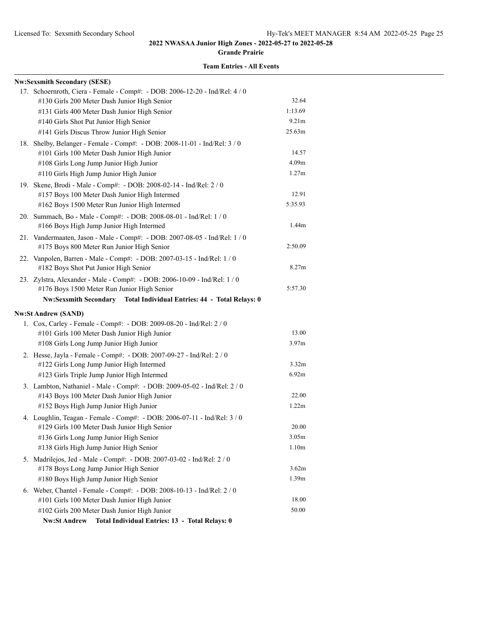**Grande Prairie**

| <b>Nw:Sexsmith Secondary (SESE)</b>                                            |                   |
|--------------------------------------------------------------------------------|-------------------|
| 17. Schoernroth, Ciera - Female - Comp#: - DOB: 2006-12-20 - Ind/Rel: 4 / 0    |                   |
| #130 Girls 200 Meter Dash Junior High Senior                                   | 32.64             |
| #131 Girls 400 Meter Dash Junior High Senior                                   | 1:13.69           |
| #140 Girls Shot Put Junior High Senior                                         | 9.21 <sub>m</sub> |
| #141 Girls Discus Throw Junior High Senior                                     | 25.63m            |
| 18. Shelby, Belanger - Female - Comp#: - DOB: 2008-11-01 - Ind/Rel: 3 / 0      |                   |
| #101 Girls 100 Meter Dash Junior High Junior                                   | 14.57             |
| #108 Girls Long Jump Junior High Junior                                        | 4.09 <sub>m</sub> |
| #110 Girls High Jump Junior High Junior                                        | 1.27m             |
| 19. Skene, Brodi - Male - Comp#: - DOB: 2008-02-14 - Ind/Rel: 2 / 0            |                   |
| #157 Boys 100 Meter Dash Junior High Intermed                                  | 12.91             |
| #162 Boys 1500 Meter Run Junior High Intermed                                  | 5:35.93           |
| 20. Summach, Bo - Male - Comp#: - DOB: 2008-08-01 - Ind/Rel: 1 / 0             |                   |
| #166 Boys High Jump Junior High Intermed                                       | 1.44m             |
| 21. Vandermaaten, Jason - Male - Comp#: - DOB: 2007-08-05 - Ind/Rel: 1 / 0     |                   |
| #175 Boys 800 Meter Run Junior High Senior                                     | 2:50.09           |
| 22. Vanpolen, Barren - Male - Comp#: - DOB: 2007-03-15 - Ind/Rel: 1 / 0        |                   |
| #182 Boys Shot Put Junior High Senior                                          | 8.27 <sub>m</sub> |
| 23. Zylstra, Alexander - Male - Comp#: - DOB: 2006-10-09 - Ind/Rel: 1 / 0      |                   |
| #176 Boys 1500 Meter Run Junior High Senior                                    | 5:57.30           |
| <b>Nw:Sexsmith Secondary</b><br>Total Individual Entries: 44 - Total Relays: 0 |                   |
| <b>Nw:St Andrew (SAND)</b>                                                     |                   |
| 1. Cox, Carley - Female - Comp#: - DOB: 2009-08-20 - Ind/Rel: 2 / 0            |                   |
| #101 Girls 100 Meter Dash Junior High Junior                                   | 13.00             |
| #108 Girls Long Jump Junior High Junior                                        | 3.97 <sub>m</sub> |
| 2. Hesse, Jayla - Female - Comp#: - DOB: 2007-09-27 - Ind/Rel: 2 / 0           |                   |
| #122 Girls Long Jump Junior High Intermed                                      | 3.32 <sub>m</sub> |
| #123 Girls Triple Jump Junior High Intermed                                    | 6.92m             |
| 3. Lambton, Nathaniel - Male - Comp#: - DOB: 2009-05-02 - Ind/Rel: 2 / 0       |                   |
| #143 Boys 100 Meter Dash Junior High Junior                                    | 22.00             |
| #152 Boys High Jump Junior High Junior                                         | 1.22m             |
| 4. Loughlin, Teagan - Female - Comp#: - DOB: 2006-07-11 - Ind/Rel: 3 / 0       |                   |
| #129 Girls 100 Meter Dash Junior High Senior                                   | 20.00             |
| #136 Girls Long Jump Junior High Senior                                        | 3.05m             |
| #138 Girls High Jump Junior High Senior                                        | 1.10 <sub>m</sub> |
| 5. Madrilejos, Jed - Male - Comp#: - DOB: 2007-03-02 - Ind/Rel: 2 / 0          |                   |
| #178 Boys Long Jump Junior High Senior                                         | 3.62m             |
| #180 Boys High Jump Junior High Senior                                         | 1.39m             |
| 6. Weber, Chantel - Female - Comp#: - DOB: 2008-10-13 - Ind/Rel: 2 / 0         |                   |
| #101 Girls 100 Meter Dash Junior High Junior                                   | 18.00             |
| #102 Girls 200 Meter Dash Junior High Junior                                   | 50.00             |
| Total Individual Entries: 13 - Total Relays: 0<br><b>Nw:St Andrew</b>          |                   |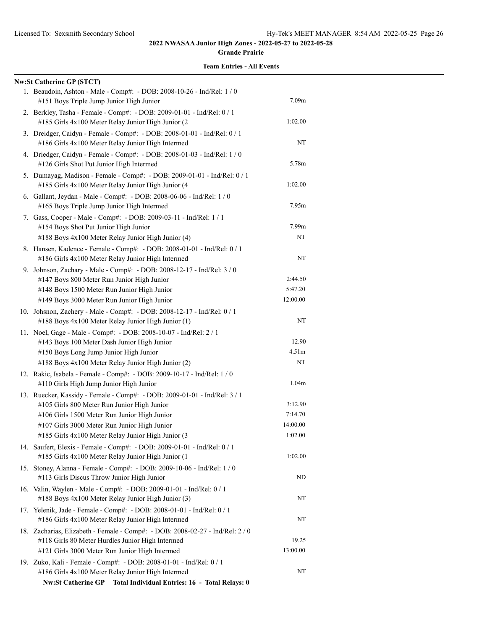#### **Grande Prairie**

| <b>Nw:St Catherine GP (STCT)</b>                                                                                               |                   |
|--------------------------------------------------------------------------------------------------------------------------------|-------------------|
| 1. Beaudoin, Ashton - Male - Comp#: - DOB: 2008-10-26 - Ind/Rel: 1 / 0<br>#151 Boys Triple Jump Junior High Junior             | 7.09 <sub>m</sub> |
| 2. Berkley, Tasha - Female - Comp#: - DOB: 2009-01-01 - Ind/Rel: 0 / 1<br>#185 Girls 4x100 Meter Relay Junior High Junior (2   | 1:02.00           |
| 3. Dreidger, Caidyn - Female - Comp#: - DOB: 2008-01-01 - Ind/Rel: 0 / 1<br>#186 Girls 4x100 Meter Relay Junior High Intermed  | NT                |
| 4. Driedger, Caidyn - Female - Comp#: - DOB: 2008-01-03 - Ind/Rel: 1 / 0<br>#126 Girls Shot Put Junior High Intermed           | 5.78m             |
| 5. Dumayag, Madison - Female - Comp#: - DOB: 2009-01-01 - Ind/Rel: 0 / 1<br>#185 Girls 4x100 Meter Relay Junior High Junior (4 | 1:02.00           |
| 6. Gallant, Jeydan - Male - Comp#: - DOB: 2008-06-06 - Ind/Rel: 1 / 0<br>#165 Boys Triple Jump Junior High Intermed            | 7.95m             |
| 7. Gass, Cooper - Male - Comp#: - DOB: 2009-03-11 - Ind/Rel: 1 / 1<br>#154 Boys Shot Put Junior High Junior                    | 7.99m             |
| #188 Boys 4x100 Meter Relay Junior High Junior (4)                                                                             | NT                |
| 8. Hansen, Kadence - Female - Comp#: - DOB: 2008-01-01 - Ind/Rel: 0 / 1<br>#186 Girls 4x100 Meter Relay Junior High Intermed   | NT                |
| 9. Johnson, Zachary - Male - Comp#: - DOB: 2008-12-17 - Ind/Rel: 3 / 0                                                         | 2:44.50           |
| #147 Boys 800 Meter Run Junior High Junior                                                                                     | 5:47.20           |
| #148 Boys 1500 Meter Run Junior High Junior<br>#149 Boys 3000 Meter Run Junior High Junior                                     | 12:00.00          |
|                                                                                                                                |                   |
| 10. Johsnon, Zachery - Male - Comp#: - DOB: 2008-12-17 - Ind/Rel: 0 / 1<br>#188 Boys 4x100 Meter Relay Junior High Junior (1)  | NT                |
| 11. Noel, Gage - Male - Comp#: - DOB: 2008-10-07 - Ind/Rel: 2 / 1                                                              |                   |
| #143 Boys 100 Meter Dash Junior High Junior                                                                                    | 12.90             |
| #150 Boys Long Jump Junior High Junior                                                                                         | 4.51m             |
| #188 Boys 4x100 Meter Relay Junior High Junior (2)                                                                             | NT                |
| 12. Rakic, Isabela - Female - Comp#: - DOB: 2009-10-17 - Ind/Rel: 1 / 0<br>#110 Girls High Jump Junior High Junior             | 1.04m             |
| 13. Ruecker, Kassidy - Female - Comp#: - DOB: 2009-01-01 - Ind/Rel: 3 / 1                                                      |                   |
| #105 Girls 800 Meter Run Junior High Junior                                                                                    | 3:12.90           |
| #106 Girls 1500 Meter Run Junior High Junior                                                                                   | 7:14.70           |
| #107 Girls 3000 Meter Run Junior High Junior                                                                                   | 14:00.00          |
| #185 Girls 4x100 Meter Relay Junior High Junior (3                                                                             | 1:02.00           |
| 14. Saufert, Elexis - Female - Comp#: - DOB: 2009-01-01 - Ind/Rel: 0 / 1<br>#185 Girls 4x100 Meter Relay Junior High Junior (1 | 1:02.00           |
| 15. Stoney, Alanna - Female - Comp#: - DOB: 2009-10-06 - Ind/Rel: 1 / 0<br>#113 Girls Discus Throw Junior High Junior          | ND                |
| 16. Valin, Waylen - Male - Comp#: - DOB: 2009-01-01 - Ind/Rel: 0 / 1<br>#188 Boys 4x100 Meter Relay Junior High Junior (3)     | NT                |
| 17. Yelenik, Jade - Female - Comp#: - DOB: 2008-01-01 - Ind/Rel: 0 / 1<br>#186 Girls 4x100 Meter Relay Junior High Intermed    | NT                |
| 18. Zacharias, Elizabeth - Female - Comp#: - DOB: 2008-02-27 - Ind/Rel: 2 / 0                                                  |                   |
| #118 Girls 80 Meter Hurdles Junior High Intermed                                                                               | 19.25             |
| #121 Girls 3000 Meter Run Junior High Intermed                                                                                 | 13:00.00          |
| 19. Zuko, Kali - Female - Comp#: - DOB: 2008-01-01 - Ind/Rel: 0 / 1                                                            |                   |
| #186 Girls 4x100 Meter Relay Junior High Intermed                                                                              | NT                |
| <b>Nw:St Catherine GP</b><br>Total Individual Entries: 16 - Total Relays: 0                                                    |                   |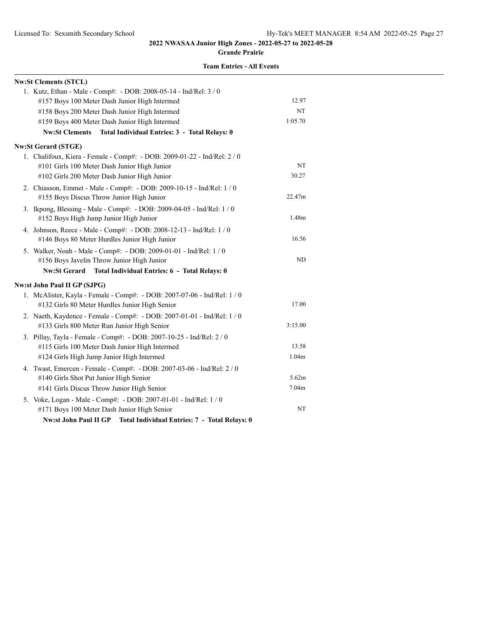#### **Grande Prairie**

| <b>Nw:St Clements (STCL)</b>                                             |                   |
|--------------------------------------------------------------------------|-------------------|
| 1. Kutz, Ethan - Male - Comp#: - DOB: 2008-05-14 - Ind/Rel: 3 / 0        |                   |
| #157 Boys 100 Meter Dash Junior High Intermed                            | 12.97             |
| #158 Boys 200 Meter Dash Junior High Intermed                            | NT                |
| #159 Boys 400 Meter Dash Junior High Intermed                            | 1:05.70           |
| Nw:St Clements Total Individual Entries: 3 - Total Relays: 0             |                   |
| <b>Nw:St Gerard (STGE)</b>                                               |                   |
| 1. Chalifoux, Kiera - Female - Comp#: - DOB: 2009-01-22 - Ind/Rel: 2 / 0 |                   |
| #101 Girls 100 Meter Dash Junior High Junior                             | NT                |
| #102 Girls 200 Meter Dash Junior High Junior                             | 30.27             |
| 2. Chiasson, Emmet - Male - Comp#: - DOB: 2009-10-15 - Ind/Rel: 1 / 0    |                   |
| #155 Boys Discus Throw Junior High Junior                                | 22.47m            |
| 3. Ikpong, Blessing - Male - Comp#: - DOB: 2009-04-05 - Ind/Rel: 1 / 0   |                   |
| #152 Boys High Jump Junior High Junior                                   | 1.48m             |
| 4. Johnson, Reece - Male - Comp#: - DOB: 2008-12-13 - Ind/Rel: 1 / 0     |                   |
| #146 Boys 80 Meter Hurdles Junior High Junior                            | 16.56             |
| 5. Walker, Noah - Male - Comp#: - DOB: 2009-01-01 - Ind/Rel: 1 / 0       |                   |
| #156 Boys Javelin Throw Junior High Junior                               | ND                |
| <b>Nw:St Gerard</b><br>Total Individual Entries: 6 - Total Relays: 0     |                   |
| <b>Nw:st John Paul II GP (SJPG)</b>                                      |                   |
| 1. McAlister, Kayla - Female - Comp#: - DOB: 2007-07-06 - Ind/Rel: 1 / 0 |                   |
| #132 Girls 80 Meter Hurdles Junior High Senior                           | 17.00             |
| 2. Naeth, Kaydence - Female - Comp#: - DOB: 2007-01-01 - Ind/Rel: 1 / 0  |                   |
| #133 Girls 800 Meter Run Junior High Senior                              | 3:15.00           |
| 3. Pillay, Tayla - Female - Comp#: - DOB: 2007-10-25 - Ind/Rel: 2 / 0    |                   |
| #115 Girls 100 Meter Dash Junior High Intermed                           | 13.58             |
| #124 Girls High Jump Junior High Intermed                                | 1.04 <sub>m</sub> |
| 4. Twast, Emercen - Female - Comp#: - DOB: 2007-03-06 - Ind/Rel: 2 / 0   |                   |
| #140 Girls Shot Put Junior High Senior                                   | 5.62m             |
| #141 Girls Discus Throw Junior High Senior                               | 7.04 <sub>m</sub> |
| 5. Voke, Logan - Male - Comp#: - DOB: 2007-01-01 - Ind/Rel: 1 / 0        |                   |
| #171 Boys 100 Meter Dash Junior High Senior                              | NT                |
| Nw:st John Paul II GP Total Individual Entries: 7 - Total Relays: 0      |                   |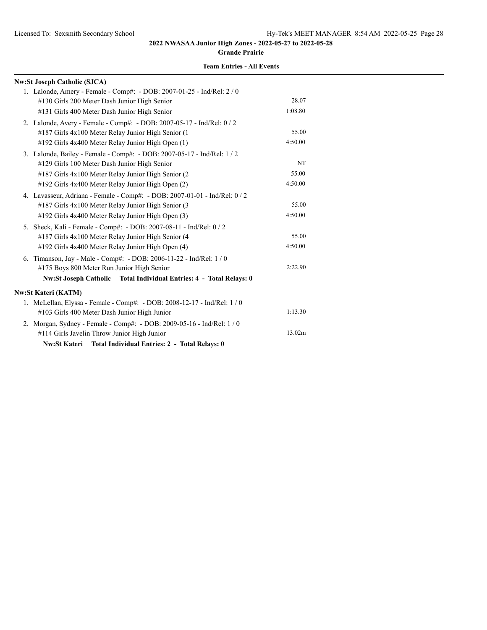**Grande Prairie**

| <b>Nw:St Joseph Catholic (SJCA)</b>                                      |         |
|--------------------------------------------------------------------------|---------|
| 1. Lalonde, Amery - Female - Comp#: - DOB: 2007-01-25 - Ind/Rel: 2 / 0   |         |
| #130 Girls 200 Meter Dash Junior High Senior                             | 28.07   |
| #131 Girls 400 Meter Dash Junior High Senior                             | 1:08.80 |
| 2. Lalonde, Avery - Female - Comp#: - DOB: 2007-05-17 - Ind/Rel: 0 / 2   |         |
| #187 Girls 4x100 Meter Relay Junior High Senior (1                       | 55.00   |
| #192 Girls 4x400 Meter Relay Junior High Open (1)                        | 4:50.00 |
| 3. Lalonde, Bailey - Female - Comp#: - DOB: 2007-05-17 - Ind/Rel: 1 / 2  |         |
| #129 Girls 100 Meter Dash Junior High Senior                             | NT      |
| #187 Girls 4x100 Meter Relay Junior High Senior (2)                      | 55.00   |
| #192 Girls 4x400 Meter Relay Junior High Open (2)                        | 4:50.00 |
| 4. Lavasseur, Adriana - Female - Comp#: - DOB: 2007-01-01 - Ind/Rel: 0/2 |         |
| #187 Girls 4x100 Meter Relay Junior High Senior (3                       | 55.00   |
| #192 Girls 4x400 Meter Relay Junior High Open (3)                        | 4:50.00 |
| 5. Sheck, Kali - Female - Comp#: - DOB: 2007-08-11 - Ind/Rel: 0 / 2      |         |
| #187 Girls 4x100 Meter Relay Junior High Senior (4                       | 55.00   |
| #192 Girls 4x400 Meter Relay Junior High Open (4)                        | 4:50.00 |
| 6. Timanson, Jay - Male - Comp#: - DOB: 2006-11-22 - Ind/Rel: 1 / 0      |         |
| #175 Boys 800 Meter Run Junior High Senior                               | 2:22.90 |
| Nw:St Joseph Catholic Total Individual Entries: 4 - Total Relays: 0      |         |
| Nw:St Kateri (KATM)                                                      |         |
| 1. McLellan, Elyssa - Female - Comp#: - DOB: 2008-12-17 - Ind/Rel: 1 / 0 |         |
| #103 Girls 400 Meter Dash Junior High Junior                             | 1:13.30 |
| 2. Morgan, Sydney - Female - Comp#: - DOB: 2009-05-16 - Ind/Rel: 1 / 0   |         |
| #114 Girls Javelin Throw Junior High Junior                              | 13.02m  |
| Nw:St Kateri Total Individual Entries: 2 - Total Relays: 0               |         |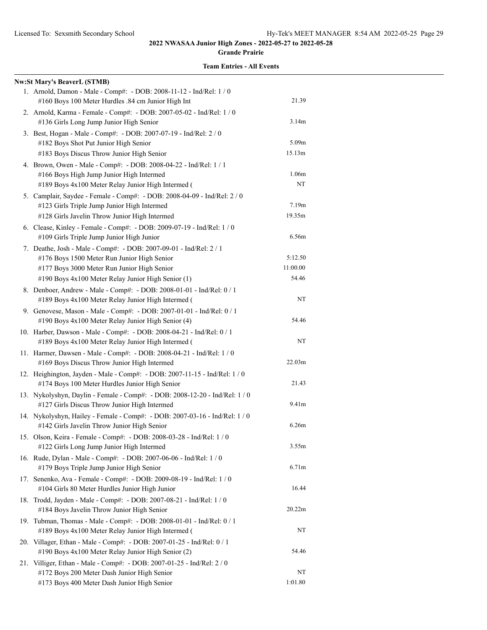#### **Grande Prairie**

| <b>Nw:St Mary's BeaverL (STMB)</b>                                                                                                                                                                                     |                              |
|------------------------------------------------------------------------------------------------------------------------------------------------------------------------------------------------------------------------|------------------------------|
| 1. Arnold, Damon - Male - Comp#: - DOB: 2008-11-12 - Ind/Rel: 1 / 0<br>#160 Boys 100 Meter Hurdles .84 cm Junior High Int                                                                                              | 21.39                        |
| 2. Arnold, Karma - Female - Comp#: - DOB: 2007-05-02 - Ind/Rel: 1 / 0<br>#136 Girls Long Jump Junior High Senior                                                                                                       | 3.14m                        |
| 3. Best, Hogan - Male - Comp#: - DOB: 2007-07-19 - Ind/Rel: 2 / 0<br>#182 Boys Shot Put Junior High Senior                                                                                                             | 5.09m                        |
| #183 Boys Discus Throw Junior High Senior<br>4. Brown, Owen - Male - Comp#: - DOB: 2008-04-22 - Ind/Rel: 1 / 1                                                                                                         | 15.13m                       |
| #166 Boys High Jump Junior High Intermed<br>#189 Boys 4x100 Meter Relay Junior High Intermed (                                                                                                                         | 1.06m<br>NT                  |
| 5. Camplair, Saydee - Female - Comp#: - DOB: 2008-04-09 - Ind/Rel: 2 / 0<br>#123 Girls Triple Jump Junior High Intermed<br>#128 Girls Javelin Throw Junior High Intermed                                               | 7.19m<br>19.35m              |
| 6. Clease, Kinley - Female - Comp#: - DOB: 2009-07-19 - Ind/Rel: 1 / 0<br>#109 Girls Triple Jump Junior High Junior                                                                                                    | 6.56m                        |
| 7. Deathe, Josh - Male - Comp#: - DOB: 2007-09-01 - Ind/Rel: 2 / 1<br>#176 Boys 1500 Meter Run Junior High Senior<br>#177 Boys 3000 Meter Run Junior High Senior<br>#190 Boys 4x100 Meter Relay Junior High Senior (1) | 5:12.50<br>11:00.00<br>54.46 |
| 8. Denboer, Andrew - Male - Comp#: - DOB: 2008-01-01 - Ind/Rel: 0 / 1<br>#189 Boys 4x100 Meter Relay Junior High Intermed (                                                                                            | NT                           |
| 9. Genovese, Mason - Male - Comp#: - DOB: 2007-01-01 - Ind/Rel: 0 / 1<br>#190 Boys 4x100 Meter Relay Junior High Senior (4)                                                                                            | 54.46                        |
| 10. Harber, Dawson - Male - Comp#: - DOB: 2008-04-21 - Ind/Rel: 0 / 1<br>#189 Boys 4x100 Meter Relay Junior High Intermed (                                                                                            | NT                           |
| 11. Harmer, Dawsen - Male - Comp#: - DOB: 2008-04-21 - Ind/Rel: 1 / 0<br>#169 Boys Discus Throw Junior High Intermed                                                                                                   | 22.03 <sub>m</sub>           |
| 12. Heighington, Jayden - Male - Comp#: - DOB: 2007-11-15 - Ind/Rel: 1 / 0<br>#174 Boys 100 Meter Hurdles Junior High Senior                                                                                           | 21.43                        |
| 13. Nykolyshyn, Daylin - Female - Comp#: - DOB: 2008-12-20 - Ind/Rel: 1 / 0<br>#127 Girls Discus Throw Junior High Intermed                                                                                            | 9.41m                        |
| 14. Nykolyshyn, Hailey - Female - Comp#: - DOB: 2007-03-16 - Ind/Rel: 1 / 0<br>#142 Girls Javelin Throw Junior High Senior                                                                                             | 6.26m                        |
| 15. Olson, Keira - Female - Comp#: - DOB: 2008-03-28 - Ind/Rel: 1 / 0<br>#122 Girls Long Jump Junior High Intermed                                                                                                     | 3.55m                        |
| 16. Rude, Dylan - Male - Comp#: - DOB: 2007-06-06 - Ind/Rel: 1 / 0<br>#179 Boys Triple Jump Junior High Senior                                                                                                         | 6.71 <sub>m</sub>            |
| 17. Senenko, Ava - Female - Comp#: - DOB: 2009-08-19 - Ind/Rel: 1 / 0<br>#104 Girls 80 Meter Hurdles Junior High Junior                                                                                                | 16.44                        |
| 18. Trodd, Jayden - Male - Comp#: - DOB: 2007-08-21 - Ind/Rel: 1 / 0<br>#184 Boys Javelin Throw Junior High Senior                                                                                                     | 20.22m                       |
| 19. Tubman, Thomas - Male - Comp#: - DOB: 2008-01-01 - Ind/Rel: 0 / 1<br>#189 Boys 4x100 Meter Relay Junior High Intermed (                                                                                            | NT                           |
| 20. Villager, Ethan - Male - Comp#: - DOB: 2007-01-25 - Ind/Rel: 0 / 1<br>#190 Boys 4x100 Meter Relay Junior High Senior (2)                                                                                           | 54.46                        |
| 21. Villiger, Ethan - Male - Comp#: - DOB: 2007-01-25 - Ind/Rel: 2 / 0<br>#172 Boys 200 Meter Dash Junior High Senior<br>#173 Boys 400 Meter Dash Junior High Senior                                                   | NT<br>1:01.80                |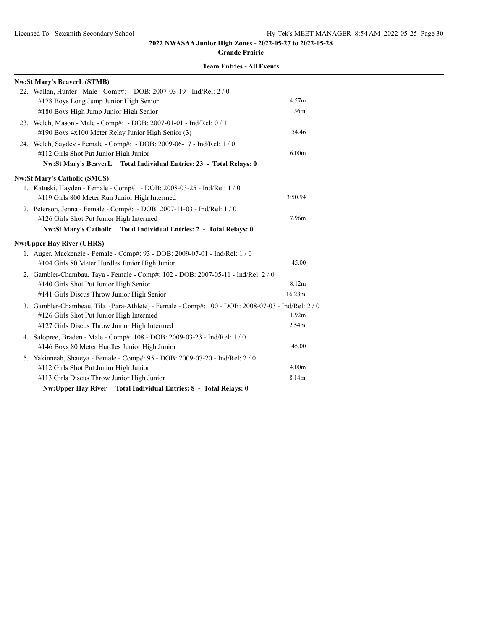#### **Grande Prairie**

|  | <b>Team Entries - All Events</b> |  |  |
|--|----------------------------------|--|--|
|--|----------------------------------|--|--|

| <b>Nw:St Mary's BeaverL (STMB)</b>                                                                |                   |
|---------------------------------------------------------------------------------------------------|-------------------|
| 22. Wallan, Hunter - Male - Comp#: - DOB: 2007-03-19 - Ind/Rel: 2 / 0                             |                   |
| #178 Boys Long Jump Junior High Senior                                                            | 4.57m             |
| #180 Boys High Jump Junior High Senior                                                            | 1.56m             |
| 23. Welch, Mason - Male - Comp#: - DOB: 2007-01-01 - Ind/Rel: 0 / 1                               |                   |
| #190 Boys 4x100 Meter Relay Junior High Senior (3)                                                | 54.46             |
| 24. Welch, Saydey - Female - Comp#: - DOB: 2009-06-17 - Ind/Rel: 1 / 0                            |                   |
| #112 Girls Shot Put Junior High Junior                                                            | 6.00 <sub>m</sub> |
| Nw:St Mary's BeaverL Total Individual Entries: 23 - Total Relays: 0                               |                   |
| <b>Nw:St Mary's Catholic (SMCS)</b>                                                               |                   |
| 1. Katuski, Hayden - Female - Comp#: - DOB: 2008-03-25 - Ind/Rel: 1 / 0                           |                   |
| #119 Girls 800 Meter Run Junior High Intermed                                                     | 3:50.94           |
| 2. Peterson, Jenna - Female - Comp#: - DOB: 2007-11-03 - Ind/Rel: 1 / 0                           |                   |
| #126 Girls Shot Put Junior High Intermed                                                          | 7.96m             |
| Nw:St Mary's Catholic Total Individual Entries: 2 - Total Relays: 0                               |                   |
| <b>Nw:Upper Hay River (UHRS)</b>                                                                  |                   |
| 1. Auger, Mackenzie - Female - Comp#: 93 - DOB: 2009-07-01 - Ind/Rel: 1 / 0                       |                   |
| #104 Girls 80 Meter Hurdles Junior High Junior                                                    | 45.00             |
| 2. Gambler-Chambau, Taya - Female - Comp#: 102 - DOB: 2007-05-11 - Ind/Rel: 2 / 0                 |                   |
| #140 Girls Shot Put Junior High Senior                                                            | 8.12m             |
| #141 Girls Discus Throw Junior High Senior                                                        | 16.28m            |
| 3. Gambler-Chambeau, Tila (Para-Athlete) - Female - Comp#: 100 - DOB: 2008-07-03 - Ind/Rel: 2 / 0 |                   |
| #126 Girls Shot Put Junior High Intermed                                                          | 1.92m             |
| #127 Girls Discus Throw Junior High Intermed                                                      | 2.54m             |
| 4. Salopree, Braden - Male - Comp#: 108 - DOB: 2009-03-23 - Ind/Rel: 1 / 0                        |                   |
| #146 Boys 80 Meter Hurdles Junior High Junior                                                     | 45.00             |
| 5. Yakinneah, Shateya - Female - Comp#: 95 - DOB: 2009-07-20 - Ind/Rel: 2 / 0                     |                   |
| #112 Girls Shot Put Junior High Junior                                                            | 4.00 <sub>m</sub> |
| #113 Girls Discus Throw Junior High Junior                                                        | 8.14m             |
| <b>Total Individual Entries: 8 - Total Relays: 0</b><br><b>Nw:Upper Hay River</b>                 |                   |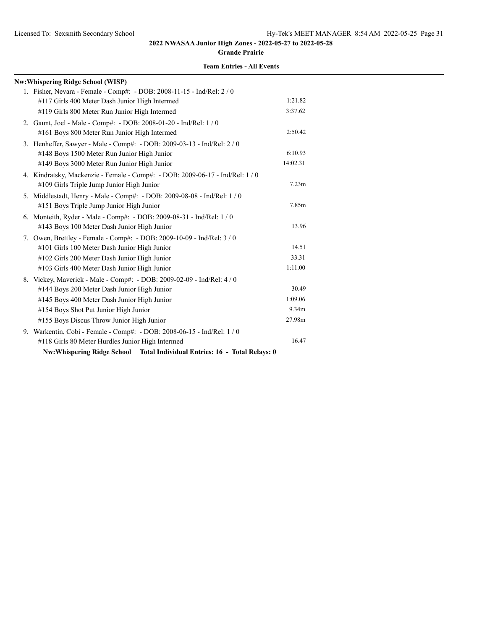#### **Grande Prairie**

| <b>Nw:Whispering Ridge School (WISP)</b>                                            |          |
|-------------------------------------------------------------------------------------|----------|
| 1. Fisher, Nevara - Female - Comp#: - DOB: 2008-11-15 - Ind/Rel: 2 / 0              |          |
| #117 Girls 400 Meter Dash Junior High Intermed                                      | 1:21.82  |
| #119 Girls 800 Meter Run Junior High Intermed                                       | 3:37.62  |
| 2. Gaunt, Joel - Male - Comp#: - DOB: 2008-01-20 - Ind/Rel: 1 / 0                   |          |
| #161 Boys 800 Meter Run Junior High Intermed                                        | 2:50.42  |
| 3. Henheffer, Sawyer - Male - Comp#: - DOB: 2009-03-13 - Ind/Rel: 2 / 0             |          |
| #148 Boys 1500 Meter Run Junior High Junior                                         | 6:10.93  |
| #149 Boys 3000 Meter Run Junior High Junior                                         | 14:02.31 |
| 4. Kindratsky, Mackenzie - Female - Comp#: - DOB: 2009-06-17 - Ind/Rel: 1 / 0       |          |
| #109 Girls Triple Jump Junior High Junior                                           | 7.23m    |
| 5. Middlestadt, Henry - Male - Comp#: - DOB: 2009-08-08 - Ind/Rel: 1 / 0            |          |
| #151 Boys Triple Jump Junior High Junior                                            | 7.85m    |
| 6. Monteith, Ryder - Male - Comp#: - DOB: 2009-08-31 - Ind/Rel: 1 / 0               |          |
| #143 Boys 100 Meter Dash Junior High Junior                                         | 13.96    |
| 7. Owen, Brettley - Female - Comp#: - DOB: 2009-10-09 - Ind/Rel: 3 / 0              |          |
| #101 Girls 100 Meter Dash Junior High Junior                                        | 14.51    |
| #102 Girls 200 Meter Dash Junior High Junior                                        | 33.31    |
| #103 Girls 400 Meter Dash Junior High Junior                                        | 1:11.00  |
| 8. Vickey, Maverick - Male - Comp#: - DOB: 2009-02-09 - Ind/Rel: 4 / 0              |          |
| #144 Boys 200 Meter Dash Junior High Junior                                         | 30.49    |
| #145 Boys 400 Meter Dash Junior High Junior                                         | 1:09.06  |
| #154 Boys Shot Put Junior High Junior                                               | 9.34m    |
| #155 Boys Discus Throw Junior High Junior                                           | 27.98m   |
| 9. Warkentin, Cobi - Female - Comp#: - DOB: 2008-06-15 - Ind/Rel: 1 / 0             |          |
| #118 Girls 80 Meter Hurdles Junior High Intermed                                    | 16.47    |
| <b>Nw:Whispering Ridge School</b><br>Total Individual Entries: 16 - Total Relays: 0 |          |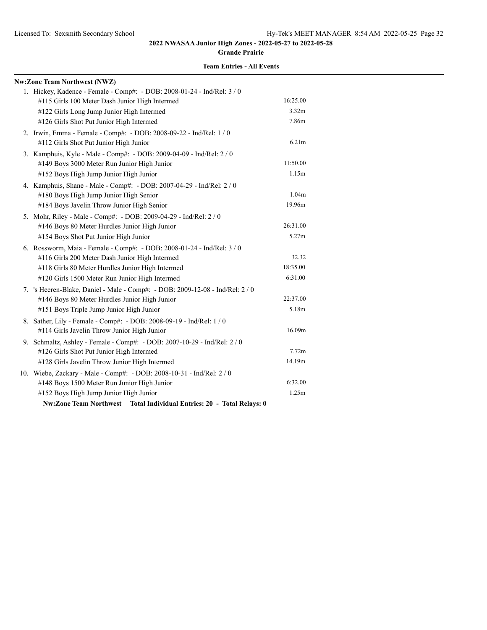**Grande Prairie**

| <b>Nw:Zone Team Northwest (NWZ)</b>                                             |                   |
|---------------------------------------------------------------------------------|-------------------|
| 1. Hickey, Kadence - Female - Comp#: - DOB: 2008-01-24 - Ind/Rel: 3 / 0         |                   |
| #115 Girls 100 Meter Dash Junior High Intermed                                  | 16:25.00          |
| #122 Girls Long Jump Junior High Intermed                                       | 3.32m             |
| #126 Girls Shot Put Junior High Intermed                                        | 7.86m             |
| 2. Irwin, Emma - Female - Comp#: - DOB: 2008-09-22 - Ind/Rel: 1 / 0             |                   |
| #112 Girls Shot Put Junior High Junior                                          | 6.21m             |
| 3. Kamphuis, Kyle - Male - Comp#: - DOB: 2009-04-09 - Ind/Rel: 2 / 0            |                   |
| #149 Boys 3000 Meter Run Junior High Junior                                     | 11:50.00          |
| #152 Boys High Jump Junior High Junior                                          | 1.15m             |
| 4. Kamphuis, Shane - Male - Comp#: - DOB: 2007-04-29 - Ind/Rel: 2 / 0           |                   |
| #180 Boys High Jump Junior High Senior                                          | 1.04 <sub>m</sub> |
| #184 Boys Javelin Throw Junior High Senior                                      | 19.96m            |
| 5. Mohr, Riley - Male - Comp#: - DOB: 2009-04-29 - Ind/Rel: 2 / 0               |                   |
| #146 Boys 80 Meter Hurdles Junior High Junior                                   | 26:31.00          |
| #154 Boys Shot Put Junior High Junior                                           | 5.27m             |
| 6. Rossworm, Maia - Female - Comp#: - DOB: 2008-01-24 - Ind/Rel: 3 / 0          |                   |
| #116 Girls 200 Meter Dash Junior High Intermed                                  | 32.32             |
| #118 Girls 80 Meter Hurdles Junior High Intermed                                | 18:35.00          |
| #120 Girls 1500 Meter Run Junior High Intermed                                  | 6:31.00           |
| 7. 's Heeren-Blake, Daniel - Male - Comp#: - DOB: 2009-12-08 - Ind/Rel: 2 / 0   |                   |
| #146 Boys 80 Meter Hurdles Junior High Junior                                   | 22:37.00          |
| #151 Boys Triple Jump Junior High Junior                                        | 5.18m             |
| 8. Sather, Lily - Female - Comp#: - DOB: 2008-09-19 - Ind/Rel: 1 / 0            |                   |
| #114 Girls Javelin Throw Junior High Junior                                     | 16.09m            |
| 9. Schmaltz, Ashley - Female - Comp#: - DOB: 2007-10-29 - Ind/Rel: 2 / 0        |                   |
| #126 Girls Shot Put Junior High Intermed                                        | 7.72m             |
| #128 Girls Javelin Throw Junior High Intermed                                   | 14.19m            |
| 10. Wiebe, Zackary - Male - Comp#: - DOB: 2008-10-31 - Ind/Rel: 2 / 0           |                   |
| #148 Boys 1500 Meter Run Junior High Junior                                     | 6:32.00           |
| #152 Boys High Jump Junior High Junior                                          | 1.25m             |
| <b>Nw:Zone Team Northwest</b><br>Total Individual Entries: 20 - Total Relays: 0 |                   |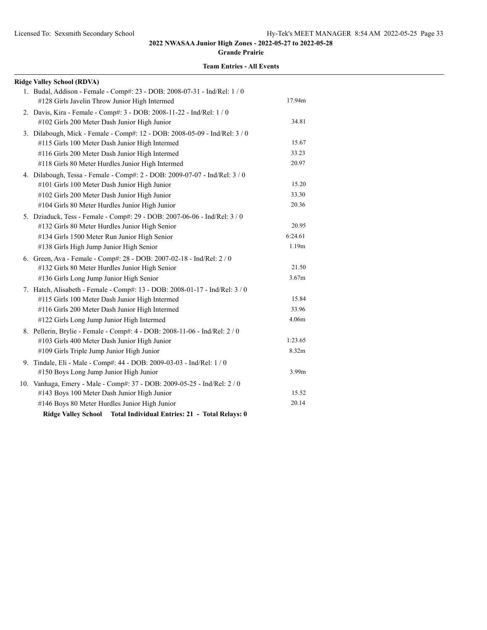**Grande Prairie**

| <b>Ridge Valley School (RDVA)</b>                                                                                                                                                                                                                        |                           |
|----------------------------------------------------------------------------------------------------------------------------------------------------------------------------------------------------------------------------------------------------------|---------------------------|
| 1. Budal, Addison - Female - Comp#: 23 - DOB: 2008-07-31 - Ind/Rel: 1 / 0<br>#128 Girls Javelin Throw Junior High Intermed                                                                                                                               | 17.94m                    |
| 2. Davis, Kira - Female - Comp#: 3 - DOB: 2008-11-22 - Ind/Rel: 1 / 0<br>#102 Girls 200 Meter Dash Junior High Junior                                                                                                                                    | 34.81                     |
| 3. Dilabough, Mick - Female - Comp#: 12 - DOB: 2008-05-09 - Ind/Rel: 3 / 0<br>#115 Girls 100 Meter Dash Junior High Intermed<br>#116 Girls 200 Meter Dash Junior High Intermed<br>#118 Girls 80 Meter Hurdles Junior High Intermed                       | 15.67<br>33.23<br>20.97   |
| 4. Dilabough, Tessa - Female - Comp#: 2 - DOB: 2009-07-07 - Ind/Rel: 3 / 0<br>#101 Girls 100 Meter Dash Junior High Junior<br>#102 Girls 200 Meter Dash Junior High Junior<br>#104 Girls 80 Meter Hurdles Junior High Junior                             | 15.20<br>33.30<br>20.36   |
| 5. Dziaduck, Tess - Female - Comp#: 29 - DOB: 2007-06-06 - Ind/Rel: 3 / 0<br>#132 Girls 80 Meter Hurdles Junior High Senior<br>#134 Girls 1500 Meter Run Junior High Senior<br>#138 Girls High Jump Junior High Senior                                   | 20.95<br>6:24.61<br>1.19m |
| 6. Green, Ava - Female - Comp#: 28 - DOB: 2007-02-18 - Ind/Rel: 2 / 0<br>#132 Girls 80 Meter Hurdles Junior High Senior<br>#136 Girls Long Jump Junior High Senior                                                                                       | 21.50<br>3.67m            |
| 7. Hatch, Alisabeth - Female - Comp#: 13 - DOB: 2008-01-17 - Ind/Rel: 3 / 0<br>#115 Girls 100 Meter Dash Junior High Intermed<br>#116 Girls 200 Meter Dash Junior High Intermed<br>#122 Girls Long Jump Junior High Intermed                             | 15.84<br>33.96<br>4.06m   |
| 8. Pellerin, Brylie - Female - Comp#: 4 - DOB: 2008-11-06 - Ind/Rel: 2 / 0<br>#103 Girls 400 Meter Dash Junior High Junior<br>#109 Girls Triple Jump Junior High Junior                                                                                  | 1:23.65<br>8.32m          |
| 9. Tindale, Eli - Male - Comp#: 44 - DOB: 2009-03-03 - Ind/Rel: 1 / 0<br>#150 Boys Long Jump Junior High Junior                                                                                                                                          | 3.99m                     |
| 10. Vanhaga, Emery - Male - Comp#: 37 - DOB: 2009-05-25 - Ind/Rel: 2 / 0<br>#143 Boys 100 Meter Dash Junior High Junior<br>#146 Boys 80 Meter Hurdles Junior High Junior<br><b>Ridge Valley School</b><br>Total Individual Entries: 21 - Total Relays: 0 | 15.52<br>20.14            |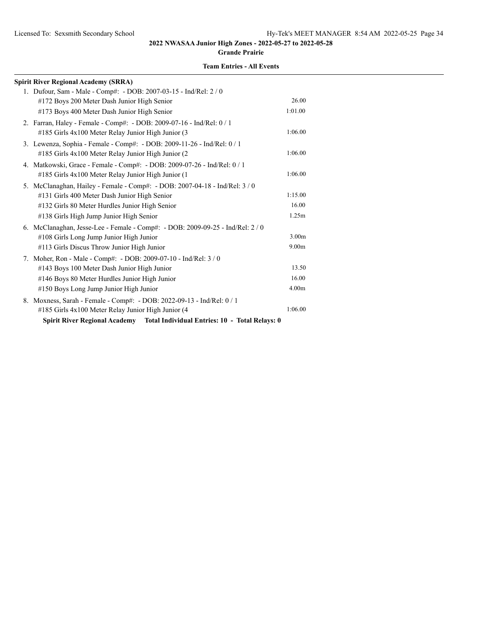#### **Grande Prairie**

| <b>Spirit River Regional Academy (SRRA)</b>                                            |                   |
|----------------------------------------------------------------------------------------|-------------------|
| 1. Dufour, Sam - Male - Comp#: - DOB: 2007-03-15 - Ind/Rel: 2 / 0                      |                   |
| #172 Boys 200 Meter Dash Junior High Senior                                            | 26.00             |
| #173 Boys 400 Meter Dash Junior High Senior                                            | 1:01.00           |
| 2. Farran, Haley - Female - Comp#: - DOB: 2009-07-16 - Ind/Rel: 0 / 1                  |                   |
| #185 Girls 4x100 Meter Relay Junior High Junior (3                                     | 1:06.00           |
| 3. Lewenza, Sophia - Female - Comp#: - DOB: 2009-11-26 - Ind/Rel: 0 / 1                |                   |
| #185 Girls 4x100 Meter Relay Junior High Junior (2                                     | 1:06.00           |
| 4. Matkowski, Grace - Female - Comp#: - DOB: 2009-07-26 - Ind/Rel: 0 / 1               |                   |
| #185 Girls 4x100 Meter Relay Junior High Junior (1                                     | 1:06.00           |
| 5. McClanaghan, Hailey - Female - Comp#: - DOB: 2007-04-18 - Ind/Rel: 3 / 0            |                   |
| #131 Girls 400 Meter Dash Junior High Senior                                           | 1:15.00           |
| #132 Girls 80 Meter Hurdles Junior High Senior                                         | 16.00             |
| #138 Girls High Jump Junior High Senior                                                | 1.25m             |
| 6. McClanaghan, Jesse-Lee - Female - Comp#: - DOB: 2009-09-25 - Ind/Rel: 2/0           |                   |
| #108 Girls Long Jump Junior High Junior                                                | 3.00 <sub>m</sub> |
| #113 Girls Discus Throw Junior High Junior                                             | 9.00 <sub>m</sub> |
| 7. Moher, Ron - Male - Comp#: - DOB: 2009-07-10 - Ind/Rel: 3 / 0                       |                   |
| #143 Boys 100 Meter Dash Junior High Junior                                            | 13.50             |
| #146 Boys 80 Meter Hurdles Junior High Junior                                          | 16.00             |
| #150 Boys Long Jump Junior High Junior                                                 | 4.00 <sub>m</sub> |
| 8. Moxness, Sarah - Female - Comp#: - DOB: 2022-09-13 - Ind/Rel: 0 / 1                 |                   |
| #185 Girls 4x100 Meter Relay Junior High Junior (4                                     | 1:06.00           |
| <b>Spirit River Regional Academy</b><br>Total Individual Entries: 10 - Total Relays: 0 |                   |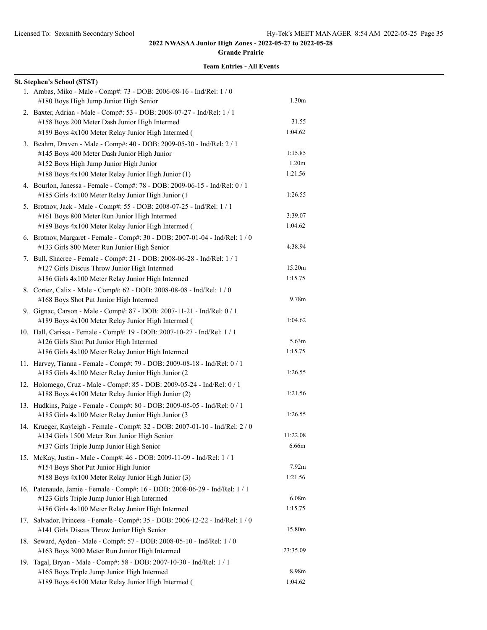**Grande Prairie**

| <b>St. Stephen's School (STST)</b>                                                                                                                                                                                |                              |
|-------------------------------------------------------------------------------------------------------------------------------------------------------------------------------------------------------------------|------------------------------|
| 1. Ambas, Miko - Male - Comp#: 73 - DOB: 2006-08-16 - Ind/Rel: 1 / 0<br>#180 Boys High Jump Junior High Senior                                                                                                    | 1.30 <sub>m</sub>            |
| 2. Baxter, Adrian - Male - Comp#: 53 - DOB: 2008-07-27 - Ind/Rel: 1 / 1<br>#158 Boys 200 Meter Dash Junior High Intermed                                                                                          | 31.55<br>1:04.62             |
| #189 Boys 4x100 Meter Relay Junior High Intermed (<br>3. Beahm, Draven - Male - Comp#: 40 - DOB: 2009-05-30 - Ind/Rel: 2 / 1<br>#145 Boys 400 Meter Dash Junior High Junior                                       | 1:15.85                      |
| #152 Boys High Jump Junior High Junior<br>#188 Boys 4x100 Meter Relay Junior High Junior (1)                                                                                                                      | 1.20 <sub>m</sub><br>1:21.56 |
| 4. Bourlon, Janessa - Female - Comp#: 78 - DOB: 2009-06-15 - Ind/Rel: 0 / 1<br>#185 Girls 4x100 Meter Relay Junior High Junior (1                                                                                 | 1:26.55                      |
| 5. Brotnov, Jack - Male - Comp#: 55 - DOB: 2008-07-25 - Ind/Rel: 1 / 1<br>#161 Boys 800 Meter Run Junior High Intermed<br>#189 Boys 4x100 Meter Relay Junior High Intermed (                                      | 3:39.07<br>1:04.62           |
| 6. Brotnov, Margaret - Female - Comp#: 30 - DOB: 2007-01-04 - Ind/Rel: 1 / 0<br>#133 Girls 800 Meter Run Junior High Senior                                                                                       | 4:38.94                      |
| 7. Bull, Shacree - Female - Comp#: 21 - DOB: 2008-06-28 - Ind/Rel: 1 / 1<br>#127 Girls Discus Throw Junior High Intermed<br>#186 Girls 4x100 Meter Relay Junior High Intermed                                     | 15.20m<br>1:15.75            |
| 8. Cortez, Calix - Male - Comp#: 62 - DOB: 2008-08-08 - Ind/Rel: 1 / 0<br>#168 Boys Shot Put Junior High Intermed                                                                                                 | 9.78m                        |
| 9. Gignac, Carson - Male - Comp#: 87 - DOB: 2007-11-21 - Ind/Rel: 0 / 1<br>#189 Boys 4x100 Meter Relay Junior High Intermed (                                                                                     | 1:04.62                      |
| 10. Hall, Carissa - Female - Comp#: 19 - DOB: 2007-10-27 - Ind/Rel: 1 / 1<br>#126 Girls Shot Put Junior High Intermed<br>#186 Girls 4x100 Meter Relay Junior High Intermed                                        | 5.63 <sub>m</sub><br>1:15.75 |
| 11. Harvey, Tianna - Female - Comp#: 79 - DOB: 2009-08-18 - Ind/Rel: 0 / 1<br>#185 Girls 4x100 Meter Relay Junior High Junior (2)                                                                                 | 1:26.55                      |
| 12. Holomego, Cruz - Male - Comp#: 85 - DOB: 2009-05-24 - Ind/Rel: 0 / 1<br>#188 Boys 4x100 Meter Relay Junior High Junior (2)                                                                                    | 1:21.56                      |
| 13. Hudkins, Paige - Female - Comp#: 80 - DOB: 2009-05-05 - Ind/Rel: 0 / 1<br>#185 Girls 4x100 Meter Relay Junior High Junior (3<br>14. Krueger, Kayleigh - Female - Comp#: 32 - DOB: 2007-01-10 - Ind/Rel: 2 / 0 | 1:26.55                      |
| #134 Girls 1500 Meter Run Junior High Senior<br>#137 Girls Triple Jump Junior High Senior                                                                                                                         | 11:22.08<br>6.66m            |
| 15. McKay, Justin - Male - Comp#: 46 - DOB: 2009-11-09 - Ind/Rel: 1 / 1<br>#154 Boys Shot Put Junior High Junior<br>#188 Boys 4x100 Meter Relay Junior High Junior (3)                                            | 7.92 <sub>m</sub><br>1:21.56 |
| 16. Patenaude, Jamie - Female - Comp#: 16 - DOB: 2008-06-29 - Ind/Rel: 1 / 1<br>#123 Girls Triple Jump Junior High Intermed<br>#186 Girls 4x100 Meter Relay Junior High Intermed                                  | 6.08m<br>1:15.75             |
| 17. Salvador, Princess - Female - Comp#: 35 - DOB: 2006-12-22 - Ind/Rel: 1 / 0<br>#141 Girls Discus Throw Junior High Senior                                                                                      | 15.80m                       |
| 18. Seward, Ayden - Male - Comp#: 57 - DOB: 2008-05-10 - Ind/Rel: 1 / 0<br>#163 Boys 3000 Meter Run Junior High Intermed                                                                                          | 23:35.09                     |
| 19. Tagal, Bryan - Male - Comp#: 58 - DOB: 2007-10-30 - Ind/Rel: 1 / 1<br>#165 Boys Triple Jump Junior High Intermed<br>#189 Boys 4x100 Meter Relay Junior High Intermed (                                        | 8.98m<br>1:04.62             |
|                                                                                                                                                                                                                   |                              |